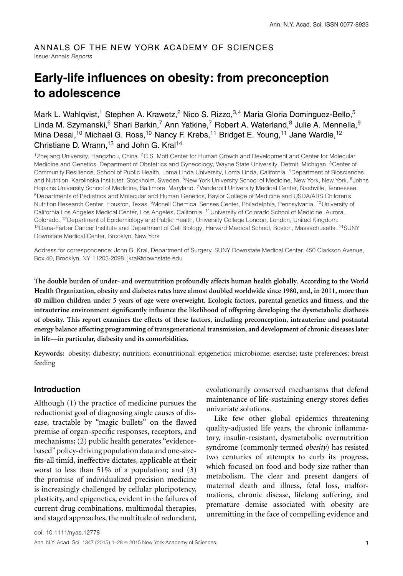# ANNALS OF THE NEW YORK ACADEMY OF SCIENCES Issue: Annals *Reports*

# **Early-life influences on obesity: from preconception to adolescence**

Mark L. Wahlqvist,<sup>1</sup> Stephen A. Krawetz,<sup>2</sup> Nico S. Rizzo,<sup>3,4</sup> Maria Gloria Dominguez-Bello,<sup>5</sup> Linda M. Szymanski, <sup>6</sup> Shari Barkin, 7 Ann Yatkine, 7 Robert A. Waterland, <sup>8</sup> Julie A. Mennella, 9 Mina Desai,<sup>10</sup> Michael G. Ross,<sup>10</sup> Nancy F. Krebs,<sup>11</sup> Bridget E. Young,<sup>11</sup> Jane Wardle,<sup>12</sup> Christiane D. Wrann,  $13$  and John G. Kral $14$ 

<sup>1</sup>Zhejiang University, Hangzhou, China. <sup>2</sup>C.S. Mott Center for Human Growth and Development and Center for Molecular Medicine and Genetics, Department of Obstetrics and Gynecology, Wayne State University, Detroit, Michigan. 3Center of Community Resilience, School of Public Health, Loma Linda University, Loma Linda, California. <sup>4</sup>Department of Biosciences and Nutrition, Karolinska Institutet, Stockholm, Sweden. <sup>5</sup>New York University School of Medicine, New York, New York. <sup>6</sup>Johns Hopkins University School of Medicine, Baltimore, Maryland. <sup>7</sup>Vanderbilt University Medical Center, Nashville, Tennessee. <sup>8</sup>Departments of Pediatrics and Molecular and Human Genetics, Baylor College of Medicine and USDA/ARS Children's Nutrition Research Center, Houston, Texas. 9Monell Chemical Senses Center, Philadelphia, Pennsylvania. 10University of California Los Angeles Medical Center, Los Angeles, California. 11University of Colorado School of Medicine, Aurora, Colorado. 12Department of Epidemiology and Public Health, University College London, London, United Kingdom. <sup>13</sup>Dana-Farber Cancer Institute and Department of Cell Biology, Harvard Medical School, Boston, Massachusetts. <sup>14</sup>SUNY Downstate Medical Center, Brooklyn, New York

Address for correspondence: John G. Kral, Department of Surgery, SUNY Downstate Medical Center, 450 Clarkson Avenue, Box 40, Brooklyn, NY 11203-2098. jkral@downstate.edu

**The double burden of under- and overnutrition profoundly affects human health globally. According to the World Health Organization, obesity and diabetes rates have almost doubled worldwide since 1980, and, in 2011, more than 40 million children under 5 years of age were overweight. Ecologic factors, parental genetics and fitness, and the intrauterine environment significantly influence the likelihood of offspring developing the dysmetabolic diathesis of obesity. This report examines the effects of these factors, including preconception, intrauterine and postnatal energy balance affecting programming of transgenerational transmission, and development of chronic diseases later in life—in particular, diabesity and its comorbidities.**

**Keywords:** obesity; diabesity; nutrition; econutritional; epigenetics; microbiome; exercise; taste preferences; breast feeding

#### **Introduction**

Although (1) the practice of medicine pursues the reductionist goal of diagnosing single causes of disease, tractable by "magic bullets" on the flawed premise of organ-specific responses, receptors, and mechanisms; (2) public health generates "evidencebased" policy-driving population data and one-sizefits-all timid, ineffective dictates, applicable at their worst to less than 51% of a population; and (3) the promise of individualized precision medicine is increasingly challenged by cellular pluripotency, plasticity, and epigenetics, evident in the failures of current drug combinations, multimodal therapies, and staged approaches, the multitude of redundant, evolutionarily conserved mechanisms that defend maintenance of life-sustaining energy stores defies univariate solutions.

Like few other global epidemics threatening quality-adjusted life years, the chronic inflammatory, insulin-resistant, dysmetabolic overnutrition syndrome (commonly termed *obesity*) has resisted two centuries of attempts to curb its progress, which focused on food and body size rather than metabolism. The clear and present dangers of maternal death and illness, fetal loss, malformations, chronic disease, lifelong suffering, and premature demise associated with obesity are unremitting in the face of compelling evidence and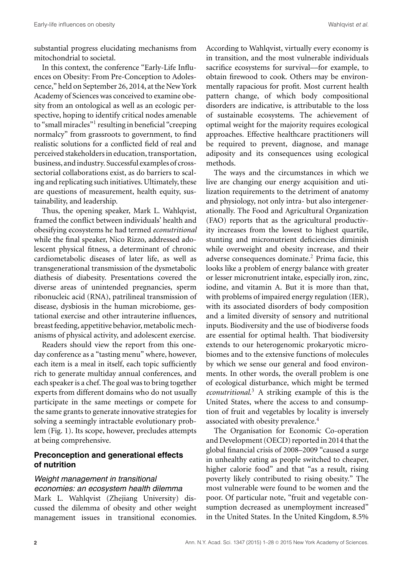substantial progress elucidating mechanisms from mitochondrial to societal.

In this context, the conference "Early-Life Influences on Obesity: From Pre-Conception to Adolescence," held on September 26, 2014, at the New York Academy of Sciences was conceived to examine obesity from an ontological as well as an ecologic perspective, hoping to identify critical nodes amenable to "small miracles"<sup>1</sup> resulting in beneficial "creeping normalcy" from grassroots to government, to find realistic solutions for a conflicted field of real and perceived stakeholders in education, transportation, business, and industry. Successful examples of crosssectorial collaborations exist, as do barriers to scaling and replicating such initiatives. Ultimately, these are questions of measurement, health equity, sustainability, and leadership.

Thus, the opening speaker, Mark L. Wahlqvist, framed the conflict between individuals' health and obesifying ecosystems he had termed *econutritional* while the final speaker, Nico Rizzo, addressed adolescent physical fitness, a determinant of chronic cardiometabolic diseases of later life, as well as transgenerational transmission of the dysmetabolic diathesis of diabesity. Presentations covered the diverse areas of unintended pregnancies, sperm ribonucleic acid (RNA), patrilineal transmission of disease, dysbiosis in the human microbiome, gestational exercise and other intrauterine influences, breast feeding, appetitive behavior, metabolic mechanisms of physical activity, and adolescent exercise.

Readers should view the report from this oneday conference as a "tasting menu" where, however, each item is a meal in itself, each topic sufficiently rich to generate multiday annual conferences, and each speaker is a chef. The goal was to bring together experts from different domains who do not usually participate in the same meetings or compete for the same grants to generate innovative strategies for solving a seemingly intractable evolutionary problem (Fig. 1). Its scope, however, precludes attempts at being comprehensive.

# **Preconception and generational effects of nutrition**

# *Weight management in transitional economies: an ecosystem health dilemma*

Mark L. Wahlqvist (Zhejiang University) discussed the dilemma of obesity and other weight management issues in transitional economies. According to Wahlqvist, virtually every economy is in transition, and the most vulnerable individuals sacrifice ecosystems for survival––for example, to obtain firewood to cook. Others may be environmentally rapacious for profit. Most current health pattern change, of which body compositional disorders are indicative, is attributable to the loss of sustainable ecosystems. The achievement of optimal weight for the majority requires ecological approaches. Effective healthcare practitioners will be required to prevent, diagnose, and manage adiposity and its consequences using ecological methods.

The ways and the circumstances in which we live are changing our energy acquisition and utilization requirements to the detriment of anatomy and physiology, not only intra- but also intergenerationally. The Food and Agricultural Organization (FAO) reports that as the agricultural productivity increases from the lowest to highest quartile, stunting and micronutrient deficiencies diminish while overweight and obesity increase, and their adverse consequences dominate.<sup>2</sup> Prima facie, this looks like a problem of energy balance with greater or lesser micronutrient intake, especially iron, zinc, iodine, and vitamin A. But it is more than that, with problems of impaired energy regulation (IER), with its associated disorders of body composition and a limited diversity of sensory and nutritional inputs. Biodiversity and the use of biodiverse foods are essential for optimal health. That biodiversity extends to our heterogenomic prokaryotic microbiomes and to the extensive functions of molecules by which we sense our general and food environments. In other words, the overall problem is one of ecological disturbance, which might be termed *econutritional*. <sup>3</sup> A striking example of this is the United States, where the access to and consumption of fruit and vegetables by locality is inversely associated with obesity prevalence.<sup>4</sup>

The Organisation for Economic Co-operation and Development (OECD) reported in 2014 that the global financial crisis of 2008–2009 "caused a surge in unhealthy eating as people switched to cheaper, higher calorie food" and that "as a result, rising poverty likely contributed to rising obesity." The most vulnerable were found to be women and the poor. Of particular note, "fruit and vegetable consumption decreased as unemployment increased" in the United States. In the United Kingdom, 8.5%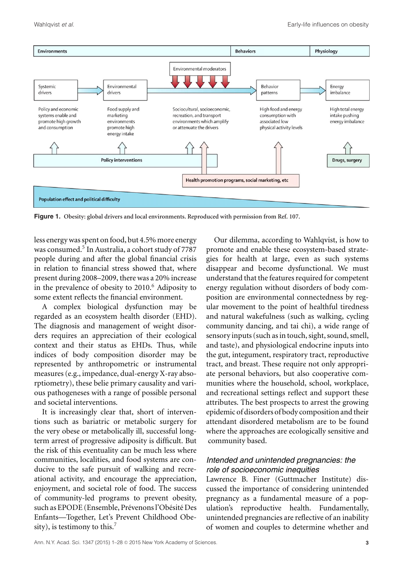

**Figure 1. Obesity: global drivers and local environments. Reproduced with permission from Ref. 107.**

less energy was spent on food, but 4.5% more energy was consumed.<sup>5</sup> In Australia, a cohort study of 7787 people during and after the global financial crisis in relation to financial stress showed that, where present during 2008–2009, there was a 20% increase in the prevalence of obesity to 2010.<sup>6</sup> Adiposity to some extent reflects the financial environment.

A complex biological dysfunction may be regarded as an ecosystem health disorder (EHD). The diagnosis and management of weight disorders requires an appreciation of their ecological context and their status as EHDs. Thus, while indices of body composition disorder may be represented by anthropometric or instrumental measures (e.g., impedance, dual-energy X-ray absorptiometry), these belie primary causality and various pathogeneses with a range of possible personal and societal interventions.

It is increasingly clear that, short of interventions such as bariatric or metabolic surgery for the very obese or metabolically ill, successful longterm arrest of progressive adiposity is difficult. But the risk of this eventuality can be much less where communities, localities, and food systems are conducive to the safe pursuit of walking and recreational activity, and encourage the appreciation, enjoyment, and societal role of food. The success of community-led programs to prevent obesity, such as EPODE (Ensemble, Prévenons l'Obésité Des Enfants—Together, Let's Prevent Childhood Obesity), is testimony to this.<sup>7</sup>

Our dilemma, according to Wahlqvist, is how to promote and enable these ecosystem-based strategies for health at large, even as such systems disappear and become dysfunctional. We must understand that the features required for competent energy regulation without disorders of body composition are environmental connectedness by regular movement to the point of healthful tiredness and natural wakefulness (such as walking, cycling community dancing, and tai chi), a wide range of sensory inputs (such as in touch, sight, sound, smell, and taste), and physiological endocrine inputs into the gut, integument, respiratory tract, reproductive tract, and breast. These require not only appropriate personal behaviors, but also cooperative communities where the household, school, workplace, and recreational settings reflect and support these attributes. The best prospects to arrest the growing epidemic of disorders of body composition and their attendant disordered metabolism are to be found where the approaches are ecologically sensitive and community based.

# *Intended and unintended pregnancies: the role of socioeconomic inequities*

Lawrence B. Finer (Guttmacher Institute) discussed the importance of considering unintended pregnancy as a fundamental measure of a population's reproductive health. Fundamentally, unintended pregnancies are reflective of an inability of women and couples to determine whether and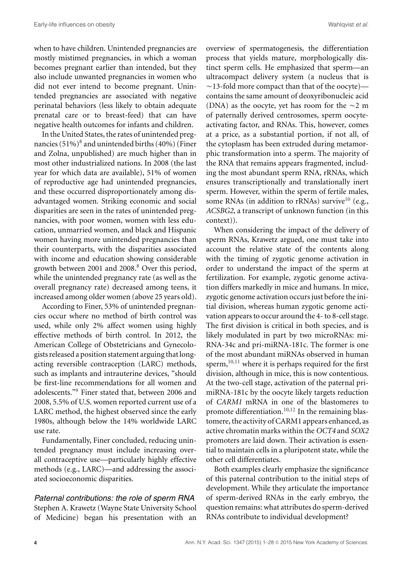when to have children. Unintended pregnancies are mostly mistimed pregnancies, in which a woman becomes pregnant earlier than intended, but they also include unwanted pregnancies in women who did not ever intend to become pregnant. Unintended pregnancies are associated with negative perinatal behaviors (less likely to obtain adequate prenatal care or to breast-feed) that can have negative health outcomes for infants and children.

In the United States, the rates of unintended pregnancies  $(51\%)^8$  and unintended births  $(40\%)$  (Finer and Zolna, unpublished) are much higher than in most other industrialized nations. In 2008 (the last year for which data are available), 51% of women of reproductive age had unintended pregnancies, and these occurred disproportionately among disadvantaged women. Striking economic and social disparities are seen in the rates of unintended pregnancies, with poor women, women with less education, unmarried women, and black and Hispanic women having more unintended pregnancies than their counterparts, with the disparities associated with income and education showing considerable growth between 2001 and 2008.<sup>8</sup> Over this period, while the unintended pregnancy rate (as well as the overall pregnancy rate) decreased among teens, it increased among older women (above 25 years old).

According to Finer, 53% of unintended pregnancies occur where no method of birth control was used, while only 2% affect women using highly effective methods of birth control. In 2012, the American College of Obstetricians and Gynecologists released a position statement arguing that longacting reversible contraception (LARC) methods, such as implants and intrauterine devices, "should be first-line recommendations for all women and adolescents."9 Finer stated that, between 2006 and 2008, 5.5% of U.S. women reported current use of a LARC method, the highest observed since the early 1980s, although below the 14% worldwide LARC use rate.

Fundamentally, Finer concluded, reducing unintended pregnancy must include increasing overall contraceptive use––particularly highly effective methods (e.g., LARC)––and addressing the associated socioeconomic disparities.

### *Paternal contributions: the role of sperm RNA* Stephen A. Krawetz (Wayne State University School of Medicine) began his presentation with an

overview of spermatogenesis, the differentiation process that yields mature, morphologically distinct sperm cells. He emphasized that sperm—an ultracompact delivery system (a nucleus that is ~13-fold more compact than that of the oocyte)contains the same amount of deoxyribonucleic acid (DNA) as the oocyte, yet has room for the  $\sim$ 2 m of paternally derived centrosomes, sperm oocyteactivating factor, and RNAs. This, however, comes at a price, as a substantial portion, if not all, of the cytoplasm has been extruded during metamorphic transformation into a sperm. The majority of the RNA that remains appears fragmented, including the most abundant sperm RNA, rRNAs, which ensures transcriptionally and translationally inert sperm. However, within the sperm of fertile males, some RNAs (in addition to rRNAs) survive<sup>10</sup> (e.g., *ACSBG2*, a transcript of unknown function (in this context)).

When considering the impact of the delivery of sperm RNAs, Krawetz argued, one must take into account the relative state of the contents along with the timing of zygotic genome activation in order to understand the impact of the sperm at fertilization. For example, zygotic genome activation differs markedly in mice and humans. In mice, zygotic genome activation occurs just before the initial division, whereas human zygotic genome activation appears to occur around the 4- to 8-cell stage. The first division is critical in both species, and is likely modulated in part by two microRNAs: mi-RNA-34c and pri-miRNA-181c. The former is one of the most abundant miRNAs observed in human sperm, $10,11$  where it is perhaps required for the first division, although in mice, this is now contentious. At the two-cell stage, activation of the paternal primiRNA-181c by the oocyte likely targets reduction of *CARM1* mRNA in one of the blastomeres to promote differentiation.<sup>10,12</sup> In the remaining blastomere, the activity of CARM1 appears enhanced, as active chromatin marks within the *OCT4* and *SOX2* promoters are laid down. Their activation is essential to maintain cells in a pluripotent state, while the other cell differentiates.

Both examples clearly emphasize the significance of this paternal contribution to the initial steps of development. While they articulate the importance of sperm-derived RNAs in the early embryo, the question remains: what attributes do sperm-derived RNAs contribute to individual development?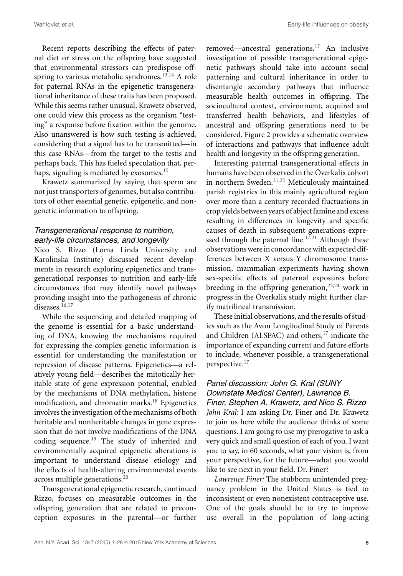Recent reports describing the effects of paternal diet or stress on the offspring have suggested that environmental stressors can predispose offspring to various metabolic syndromes.<sup>13,14</sup> A role for paternal RNAs in the epigenetic transgenerational inheritance of these traits has been proposed. While this seems rather unusual, Krawetz observed, one could view this process as the organism "testing" a response before fixation within the genome. Also unanswered is how such testing is achieved, considering that a signal has to be transmitted––in this case RNAs––from the target to the testis and perhaps back. This has fueled speculation that, perhaps, signaling is mediated by exosomes.<sup>15</sup>

Krawetz summarized by saying that sperm are not just transporters of genomes, but also contributors of other essential genetic, epigenetic, and nongenetic information to offspring.

# *Transgenerational response to nutrition, early-life circumstances, and longevity*

Nico S. Rizzo (Loma Linda University and Karolinska Institute) discussed recent developments in research exploring epigenetics and transgenerational responses to nutrition and early-life circumstances that may identify novel pathways providing insight into the pathogenesis of chronic diseases.<sup>16,17</sup>

While the sequencing and detailed mapping of the genome is essential for a basic understanding of DNA, knowing the mechanisms required for expressing the complex genetic information is essential for understanding the manifestation or repression of disease patterns. Epigenetics––a relatively young field––describes the mitotically heritable state of gene expression potential, enabled by the mechanisms of DNA methylation, histone modification, and chromatin marks.<sup>18</sup> Epigenetics involves the investigation of the mechanisms of both heritable and nonheritable changes in gene expression that do not involve modifications of the DNA coding sequence.<sup>19</sup> The study of inherited and environmentally acquired epigenetic alterations is important to understand disease etiology and the effects of health-altering environmental events across multiple generations.<sup>20</sup>

Transgenerational epigenetic research, continued Rizzo, focuses on measurable outcomes in the offspring generation that are related to preconception exposures in the parental––or further removed––ancestral generations.17 An inclusive investigation of possible transgenerational epigenetic pathways should take into account social patterning and cultural inheritance in order to disentangle secondary pathways that influence measurable health outcomes in offspring. The sociocultural context, environment, acquired and transferred health behaviors, and lifestyles of ancestral and offspring generations need to be considered. Figure 2 provides a schematic overview of interactions and pathways that influence adult health and longevity in the offspring generation.

Interesting paternal transgenerational effects in humans have been observed in the Överkalix cohort in northern Sweden.<sup>21,22</sup> Meticulously maintained parish registries in this mainly agricultural region over more than a century recorded fluctuations in crop yields between years of abject famine and excess resulting in differences in longevity and specific causes of death in subsequent generations expressed through the paternal line.<sup>17,21</sup> Although these observationswere in concordancewith expected differences between X versus Y chromosome transmission, mammalian experiments having shown sex-specific effects of paternal exposures before breeding in the offspring generation,<sup>23,24</sup> work in progress in the Överkalix study might further clarify matrilineal transmission.

These initial observations, and the results of studies such as the Avon Longitudinal Study of Parents and Children (ALSPAC) and others, $17$  indicate the importance of expanding current and future efforts to include, whenever possible, a transgenerational perspective.<sup>17</sup>

# *Panel discussion: John G. Kral (SUNY Downstate Medical Center), Lawrence B.*

*Finer, Stephen A. Krawetz, and Nico S. Rizzo John Kral*: I am asking Dr. Finer and Dr. Krawetz to join us here while the audience thinks of some questions. I am going to use my prerogative to ask a very quick and small question of each of you. I want you to say, in 60 seconds, what your vision is, from your perspective, for the future—what you would like to see next in your field. Dr. Finer?

*Lawrence Finer:* The stubborn unintended pregnancy problem in the United States is tied to inconsistent or even nonexistent contraceptive use. One of the goals should be to try to improve use overall in the population of long-acting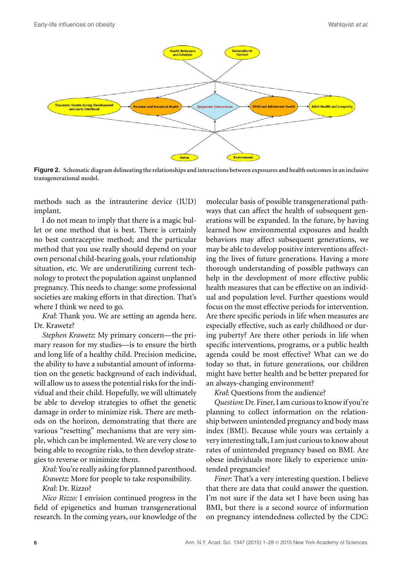

**Figure 2. Schematic diagram delineating the relationships and interactions between exposures and health outcomes in an inclusive transgenerational model.**

methods such as the intrauterine device (IUD) implant.

I do not mean to imply that there is a magic bullet or one method that is best. There is certainly no best contraceptive method; and the particular method that you use really should depend on your own personal child-bearing goals, your relationship situation, etc. We are underutilizing current technology to protect the population against unplanned pregnancy. This needs to change: some professional societies are making efforts in that direction. That's where I think we need to go.

*Kral*: Thank you. We are setting an agenda here. Dr. Krawetz?

*Stephen Krawetz*: My primary concern––the primary reason for my studies––is to ensure the birth and long life of a healthy child. Precision medicine, the ability to have a substantial amount of information on the genetic background of each individual, will allow us to assess the potential risks for the individual and their child. Hopefully, we will ultimately be able to develop strategies to offset the genetic damage in order to minimize risk. There are methods on the horizon, demonstrating that there are various "resetting" mechanisms that are very simple, which can be implemented. We are very close to being able to recognize risks, to then develop strategies to reverse or minimize them.

*Kral*: You're really asking for planned parenthood. *Krawetz*: More for people to take responsibility. *Kral*: Dr. Rizzo?

*Nico Rizzo:* I envision continued progress in the field of epigenetics and human transgenerational research. In the coming years, our knowledge of the molecular basis of possible transgenerational pathways that can affect the health of subsequent generations will be expanded. In the future, by having learned how environmental exposures and health behaviors may affect subsequent generations, we may be able to develop positive interventions affecting the lives of future generations. Having a more thorough understanding of possible pathways can help in the development of more effective public health measures that can be effective on an individual and population level. Further questions would focus on the most effective periods for intervention. Are there specific periods in life when measures are especially effective, such as early childhood or during puberty? Are there other periods in life when specific interventions, programs, or a public health agenda could be most effective? What can we do today so that, in future generations, our children might have better health and be better prepared for an always-changing environment?

*Kral*: Questions from the audience?

*Question*: Dr. Finer, I am curious to know if you're planning to collect information on the relationship between unintended pregnancy and body mass index (BMI). Because while yours was certainly a very interesting talk, I am just curious to know about rates of unintended pregnancy based on BMI. Are obese individuals more likely to experience unintended pregnancies?

*Finer*: That's a very interesting question. I believe that there are data that could answer the question. I'm not sure if the data set I have been using has BMI, but there is a second source of information on pregnancy intendedness collected by the CDC: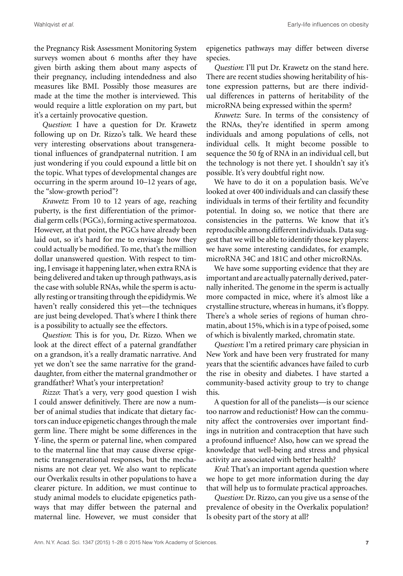the Pregnancy Risk Assessment Monitoring System surveys women about 6 months after they have given birth asking them about many aspects of their pregnancy, including intendedness and also measures like BMI. Possibly those measures are made at the time the mother is interviewed. This would require a little exploration on my part, but it's a certainly provocative question.

*Question*: I have a question for Dr. Krawetz following up on Dr. Rizzo's talk. We heard these very interesting observations about transgenerational influences of grandpaternal nutrition. I am just wondering if you could expound a little bit on the topic. What types of developmental changes are occurring in the sperm around 10–12 years of age, the "slow-growth period"?

*Krawetz*: From 10 to 12 years of age, reaching puberty, is the first differentiation of the primordial germ cells (PGCs), forming active spermatozoa. However, at that point, the PGCs have already been laid out, so it's hard for me to envisage how they could actually be modified. To me, that's the million dollar unanswered question. With respect to timing, I envisage it happening later, when extra RNA is being delivered and taken up through pathways, as is the case with soluble RNAs, while the sperm is actually resting or transiting through the epididymis.We haven't really considered this yet––the techniques are just being developed. That's where I think there is a possibility to actually see the effectors.

*Question*: This is for you, Dr. Rizzo. When we look at the direct effect of a paternal grandfather on a grandson, it's a really dramatic narrative. And yet we don't see the same narrative for the granddaughter, from either the maternal grandmother or grandfather? What's your interpretation?

*Rizzo*: That's a very, very good question I wish I could answer definitively. There are now a number of animal studies that indicate that dietary factors can induce epigenetic changes through the male germ line. There might be some differences in the Y-line, the sperm or paternal line, when compared to the maternal line that may cause diverse epigenetic transgenerational responses, but the mechanisms are not clear yet. We also want to replicate our Överkalix results in other populations to have a clearer picture. In addition, we must continue to study animal models to elucidate epigenetics pathways that may differ between the paternal and maternal line. However, we must consider that epigenetics pathways may differ between diverse species.

*Question*: I'll put Dr. Krawetz on the stand here. There are recent studies showing heritability of histone expression patterns, but are there individual differences in patterns of heritability of the microRNA being expressed within the sperm?

*Krawetz*: Sure. In terms of the consistency of the RNAs, they're identified in sperm among individuals and among populations of cells, not individual cells. It might become possible to sequence the 50 fg of RNA in an individual cell, but the technology is not there yet. I shouldn't say it's possible. It's very doubtful right now.

We have to do it on a population basis. We've looked at over 400 individuals and can classify these individuals in terms of their fertility and fecundity potential. In doing so, we notice that there are consistencies in the patterns. We know that it's reproducible among different individuals. Data suggest that we will be able to identify those key players: we have some interesting candidates, for example, microRNA 34C and 181C and other microRNAs.

We have some supporting evidence that they are important and are actually paternally derived, paternally inherited. The genome in the sperm is actually more compacted in mice, where it's almost like a crystalline structure, whereas in humans, it's floppy. There's a whole series of regions of human chromatin, about 15%, which is in a type of poised, some of which is bivalently marked, chromatin state.

*Question*: I'm a retired primary care physician in New York and have been very frustrated for many years that the scientific advances have failed to curb the rise in obesity and diabetes. I have started a community-based activity group to try to change this.

A question for all of the panelists—is our science too narrow and reductionist? How can the community affect the controversies over important findings in nutrition and contraception that have such a profound influence? Also, how can we spread the knowledge that well-being and stress and physical activity are associated with better health?

*Kral*: That's an important agenda question where we hope to get more information during the day that will help us to formulate practical approaches.

*Question*: Dr. Rizzo, can you give us a sense of the prevalence of obesity in the Överkalix population? Is obesity part of the story at all?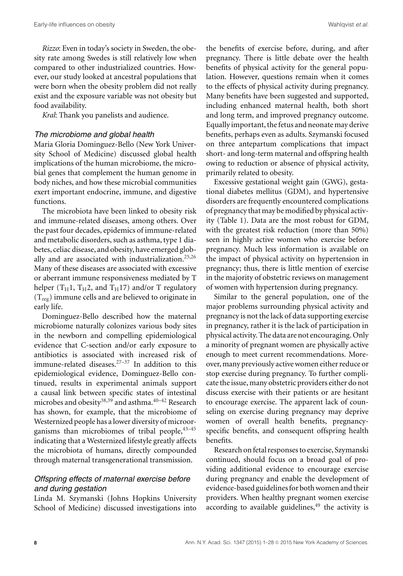*Rizzo*: Even in today's society in Sweden, the obesity rate among Swedes is still relatively low when compared to other industrialized countries. However, our study looked at ancestral populations that were born when the obesity problem did not really exist and the exposure variable was not obesity but food availability.

*Kral*: Thank you panelists and audience.

#### *The microbiome and global health*

Maria Gloria Dominguez-Bello (New York University School of Medicine) discussed global health implications of the human microbiome, the microbial genes that complement the human genome in body niches, and how these microbial communities exert important endocrine, immune, and digestive functions.

The microbiota have been linked to obesity risk and immune-related diseases, among others. Over the past four decades, epidemics of immune-related and metabolic disorders, such as asthma, type 1 diabetes, celiac disease, and obesity, have emerged globally and are associated with industrialization.<sup>25,26</sup> Many of these diseases are associated with excessive or aberrant immune responsiveness mediated by T helper ( $T_H1$ ,  $T_H2$ , and  $T_H17$ ) and/or T regulatory  $(T_{reg})$  immune cells and are believed to originate in early life.

Dominguez-Bello described how the maternal microbiome naturally colonizes various body sites in the newborn and compelling epidemiological evidence that C-section and/or early exposure to antibiotics is associated with increased risk of immune-related diseases.27–37 In addition to this epidemiological evidence, Dominguez-Bello continued, results in experimental animals support a causal link between specific states of intestinal microbes and obesity<sup>38,39</sup> and asthma.<sup>40–42</sup> Research has shown, for example, that the microbiome of Westernized people has a lower diversity of microorganisms than microbiomes of tribal people,  $43-45$ indicating that a Westernized lifestyle greatly affects the microbiota of humans, directly compounded through maternal transgenerational transmission.

# *Offspring effects of maternal exercise before and during gestation*

Linda M. Szymanski (Johns Hopkins University School of Medicine) discussed investigations into the benefits of exercise before, during, and after pregnancy. There is little debate over the health benefits of physical activity for the general population. However, questions remain when it comes to the effects of physical activity during pregnancy. Many benefits have been suggested and supported, including enhanced maternal health, both short and long term, and improved pregnancy outcome. Equally important, the fetus and neonate may derive benefits, perhaps even as adults. Szymanski focused on three antepartum complications that impact short- and long-term maternal and offspring health owing to reduction or absence of physical activity, primarily related to obesity.

Excessive gestational weight gain (GWG), gestational diabetes mellitus (GDM), and hypertensive disorders are frequently encountered complications of pregnancy that may be modified by physical activity (Table 1). Data are the most robust for GDM, with the greatest risk reduction (more than 50%) seen in highly active women who exercise before pregnancy. Much less information is available on the impact of physical activity on hypertension in pregnancy; thus, there is little mention of exercise in the majority of obstetric reviews on management of women with hypertension during pregnancy.

Similar to the general population, one of the major problems surrounding physical activity and pregnancy is not the lack of data supporting exercise in pregnancy, rather it is the lack of participation in physical activity. The data are not encouraging. Only a minority of pregnant women are physically active enough to meet current recommendations. Moreover, many previously active women either reduce or stop exercise during pregnancy. To further complicate the issue, many obstetric providers either do not discuss exercise with their patients or are hesitant to encourage exercise. The apparent lack of counseling on exercise during pregnancy may deprive women of overall health benefits, pregnancyspecific benefits, and consequent offspring health benefits.

Research on fetal responses to exercise, Szymanski continued, should focus on a broad goal of providing additional evidence to encourage exercise during pregnancy and enable the development of evidence-based guidelines for both women and their providers. When healthy pregnant women exercise according to available guidelines, $49$  the activity is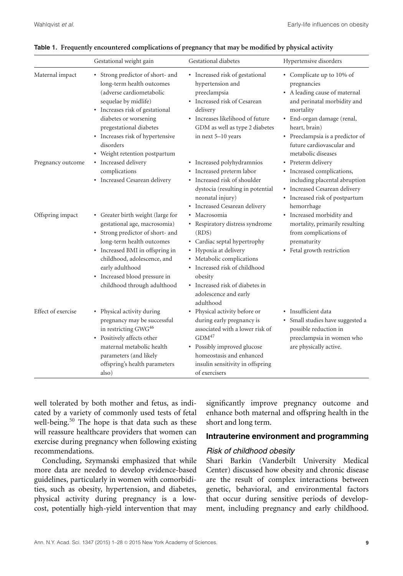|                    | Gestational weight gain                                                                                                                                                                                                                                                                  | Gestational diabetes                                                                                                                                                                                                                                              | Hypertensive disorders                                                                                                                                                                                                                                      |
|--------------------|------------------------------------------------------------------------------------------------------------------------------------------------------------------------------------------------------------------------------------------------------------------------------------------|-------------------------------------------------------------------------------------------------------------------------------------------------------------------------------------------------------------------------------------------------------------------|-------------------------------------------------------------------------------------------------------------------------------------------------------------------------------------------------------------------------------------------------------------|
| Maternal impact    | • Strong predictor of short- and<br>long-term health outcomes<br>(adverse cardiometabolic<br>sequelae by midlife)<br>• Increases risk of gestational<br>diabetes or worsening<br>pregestational diabetes<br>Increases risk of hypertensive<br>disorders<br>• Weight retention postpartum | • Increased risk of gestational<br>hypertension and<br>preeclampsia<br>• Increased risk of Cesarean<br>delivery<br>• Increases likelihood of future<br>GDM as well as type 2 diabetes<br>in next 5-10 years                                                       | • Complicate up to 10% of<br>pregnancies<br>• A leading cause of maternal<br>and perinatal morbidity and<br>mortality<br>• End-organ damage (renal,<br>heart, brain)<br>• Preeclampsia is a predictor of<br>future cardiovascular and<br>metabolic diseases |
| Pregnancy outcome  | • Increased delivery<br>complications<br>• Increased Cesarean delivery                                                                                                                                                                                                                   | • Increased polyhydramnios<br>• Increased preterm labor<br>• Increased risk of shoulder<br>dystocia (resulting in potential<br>neonatal injury)<br>• Increased Cesarean delivery                                                                                  | • Preterm delivery<br>• Increased complications,<br>including placental abruption<br>• Increased Cesarean delivery<br>• Increased risk of postpartum<br>hemorrhage                                                                                          |
| Offspring impact   | • Greater birth weight (large for<br>gestational age, macrosomia)<br>• Strong predictor of short- and<br>long-term health outcomes<br>• Increased BMI in offspring in<br>childhood, adolescence, and<br>early adulthood<br>• Increased blood pressure in<br>childhood through adulthood  | Macrosomia<br>• Respiratory distress syndrome<br>(RDS)<br>• Cardiac septal hypertrophy<br>• Hypoxia at delivery<br>• Metabolic complications<br>• Increased risk of childhood<br>obesity<br>• Increased risk of diabetes in<br>adolescence and early<br>adulthood | • Increased morbidity and<br>mortality, primarily resulting<br>from complications of<br>prematurity<br>• Fetal growth restriction                                                                                                                           |
| Effect of exercise | • Physical activity during<br>pregnancy may be successful<br>in restricting GWG <sup>46</sup><br>• Positively affects other<br>maternal metabolic health<br>parameters (and likely<br>offspring's health parameters<br>also)                                                             | • Physical activity before or<br>during early pregnancy is<br>associated with a lower risk of<br>GDM <sup>47</sup><br>• Possibly improved glucose<br>homeostasis and enhanced<br>insulin sensitivity in offspring<br>of exercisers                                | • Insufficient data<br>• Small studies have suggested a<br>possible reduction in<br>preeclampsia in women who<br>are physically active.                                                                                                                     |

|  | Table 1. Frequently encountered complications of pregnancy that may be modified by physical activity |  |  |  |
|--|------------------------------------------------------------------------------------------------------|--|--|--|
|  |                                                                                                      |  |  |  |

well tolerated by both mother and fetus, as indicated by a variety of commonly used tests of fetal well-being.<sup>50</sup> The hope is that data such as these will reassure healthcare providers that women can exercise during pregnancy when following existing recommendations.

Concluding, Szymanski emphasized that while more data are needed to develop evidence-based guidelines, particularly in women with comorbidities, such as obesity, hypertension, and diabetes, physical activity during pregnancy is a lowcost, potentially high-yield intervention that may significantly improve pregnancy outcome and enhance both maternal and offspring health in the short and long term.

### **Intrauterine environment and programming**

#### *Risk of childhood obesity*

Shari Barkin (Vanderbilt University Medical Center) discussed how obesity and chronic disease are the result of complex interactions between genetic, behavioral, and environmental factors that occur during sensitive periods of development, including pregnancy and early childhood.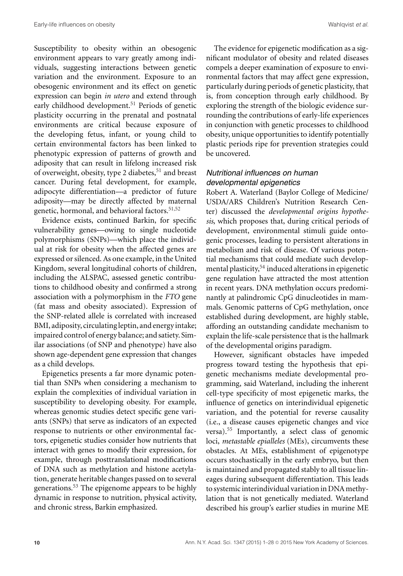Susceptibility to obesity within an obesogenic environment appears to vary greatly among individuals, suggesting interactions between genetic variation and the environment. Exposure to an obesogenic environment and its effect on genetic expression can begin *in utero* and extend through early childhood development.<sup>51</sup> Periods of genetic plasticity occurring in the prenatal and postnatal environments are critical because exposure of the developing fetus, infant, or young child to certain environmental factors has been linked to phenotypic expression of patterns of growth and adiposity that can result in lifelong increased risk of overweight, obesity, type 2 diabetes,<sup>51</sup> and breast cancer. During fetal development, for example, adipocyte differentiation––a predictor of future adiposity––may be directly affected by maternal genetic, hormonal, and behavioral factors.<sup>51,52</sup>

Evidence exists, continued Barkin, for specific vulnerability genes––owing to single nucleotide polymorphisms (SNPs)––which place the individual at risk for obesity when the affected genes are expressed or silenced. As one example, in the United Kingdom, several longitudinal cohorts of children, including the ALSPAC, assessed genetic contributions to childhood obesity and confirmed a strong association with a polymorphism in the *FTO* gene (fat mass and obesity associated). Expression of the SNP-related allele is correlated with increased BMI, adiposity, circulating leptin, and energy intake; impaired control of energy balance; and satiety. Similar associations (of SNP and phenotype) have also shown age-dependent gene expression that changes as a child develops.

Epigenetics presents a far more dynamic potential than SNPs when considering a mechanism to explain the complexities of individual variation in susceptibility to developing obesity. For example, whereas genomic studies detect specific gene variants (SNPs) that serve as indicators of an expected response to nutrients or other environmental factors, epigenetic studies consider how nutrients that interact with genes to modify their expression, for example, through posttranslational modifications of DNA such as methylation and histone acetylation, generate heritable changes passed on to several generations.<sup>53</sup> The epigenome appears to be highly dynamic in response to nutrition, physical activity, and chronic stress, Barkin emphasized.

The evidence for epigenetic modification as a significant modulator of obesity and related diseases compels a deeper examination of exposure to environmental factors that may affect gene expression, particularly during periods of genetic plasticity, that is, from conception through early childhood. By exploring the strength of the biologic evidence surrounding the contributions of early-life experiences in conjunction with genetic processes to childhood obesity, unique opportunities to identify potentially plastic periods ripe for prevention strategies could be uncovered.

# *Nutritional influences on human developmental epigenetics*

Robert A. Waterland (Baylor College of Medicine/ USDA/ARS Children's Nutrition Research Center) discussed the *developmental origins hypothesis*, which proposes that, during critical periods of development, environmental stimuli guide ontogenic processes, leading to persistent alterations in metabolism and risk of disease. Of various potential mechanisms that could mediate such developmental plasticity,<sup>54</sup> induced alterations in epigenetic gene regulation have attracted the most attention in recent years. DNA methylation occurs predominantly at palindromic CpG dinucleotides in mammals. Genomic patterns of CpG methylation, once established during development, are highly stable, affording an outstanding candidate mechanism to explain the life-scale persistence that is the hallmark of the developmental origins paradigm.

However, significant obstacles have impeded progress toward testing the hypothesis that epigenetic mechanisms mediate developmental programming, said Waterland, including the inherent cell-type specificity of most epigenetic marks, the influence of genetics on interindividual epigenetic variation, and the potential for reverse causality (i.e., a disease causes epigenetic changes and vice versa).<sup>55</sup> Importantly, a select class of genomic loci, *metastable epialleles* (MEs), circumvents these obstacles. At MEs, establishment of epigenotype occurs stochastically in the early embryo, but then is maintained and propagated stably to all tissue lineages during subsequent differentiation. This leads to systemic interindividual variation in DNA methylation that is not genetically mediated. Waterland described his group's earlier studies in murine ME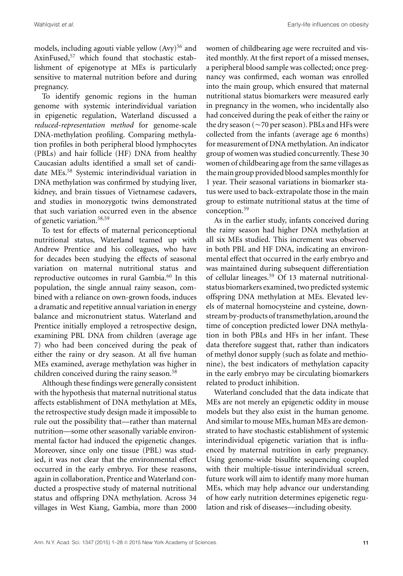models, including agouti viable yellow  $(Avy)^{56}$  and AxinFused,<sup>57</sup> which found that stochastic establishment of epigenotype at MEs is particularly sensitive to maternal nutrition before and during pregnancy.

To identify genomic regions in the human genome with systemic interindividual variation in epigenetic regulation, Waterland discussed a *reduced-representation method* for genome-scale DNA-methylation profiling. Comparing methylation profiles in both peripheral blood lymphocytes (PBLs) and hair follicle (HF) DNA from healthy Caucasian adults identified a small set of candidate MEs.<sup>58</sup> Systemic interindividual variation in DNA methylation was confirmed by studying liver, kidney, and brain tissues of Vietnamese cadavers, and studies in monozygotic twins demonstrated that such variation occurred even in the absence of genetic variation.<sup>58,59</sup>

To test for effects of maternal periconceptional nutritional status, Waterland teamed up with Andrew Prentice and his colleagues, who have for decades been studying the effects of seasonal variation on maternal nutritional status and reproductive outcomes in rural Gambia.<sup>60</sup> In this population, the single annual rainy season, combined with a reliance on own-grown foods, induces a dramatic and repetitive annual variation in energy balance and micronutrient status. Waterland and Prentice initially employed a retrospective design, examining PBL DNA from children (average age 7) who had been conceived during the peak of either the rainy or dry season. At all five human MEs examined, average methylation was higher in children conceived during the rainy season.<sup>58</sup>

Although these findings were generally consistent with the hypothesis that maternal nutritional status affects establishment of DNA methylation at MEs, the retrospective study design made it impossible to rule out the possibility that––rather than maternal nutrition––some other seasonally variable environmental factor had induced the epigenetic changes. Moreover, since only one tissue (PBL) was studied, it was not clear that the environmental effect occurred in the early embryo. For these reasons, again in collaboration, Prentice and Waterland conducted a prospective study of maternal nutritional status and offspring DNA methylation. Across 34 villages in West Kiang, Gambia, more than 2000 women of childbearing age were recruited and visited monthly. At the first report of a missed menses, a peripheral blood sample was collected; once pregnancy was confirmed, each woman was enrolled into the main group, which ensured that maternal nutritional status biomarkers were measured early in pregnancy in the women, who incidentally also had conceived during the peak of either the rainy or the dry season (~70 per season). PBLs and HFs were collected from the infants (average age 6 months) for measurement of DNA methylation. An indicator group of women was studied concurrently. These 30 women of childbearing age from the same villages as the main group provided blood samples monthlyfor 1 year. Their seasonal variations in biomarker status were used to back-extrapolate those in the main group to estimate nutritional status at the time of conception.<sup>59</sup>

As in the earlier study, infants conceived during the rainy season had higher DNA methylation at all six MEs studied. This increment was observed in both PBL and HF DNA, indicating an environmental effect that occurred in the early embryo and was maintained during subsequent differentiation of cellular lineages.<sup>59</sup> Of 13 maternal nutritionalstatus biomarkers examined, two predicted systemic offspring DNA methylation at MEs. Elevated levels of maternal homocysteine and cysteine, downstream by-products of transmethylation, around the time of conception predicted lower DNA methylation in both PBLs and HFs in her infant. These data therefore suggest that, rather than indicators of methyl donor supply (such as folate and methionine), the best indicators of methylation capacity in the early embryo may be circulating biomarkers related to product inhibition.

Waterland concluded that the data indicate that MEs are not merely an epigenetic oddity in mouse models but they also exist in the human genome. And similar to mouse MEs, human MEs are demonstrated to have stochastic establishment of systemic interindividual epigenetic variation that is influenced by maternal nutrition in early pregnancy. Using genome-wide bisulfite sequencing coupled with their multiple-tissue interindividual screen, future work will aim to identify many more human MEs, which may help advance our understanding of how early nutrition determines epigenetic regulation and risk of diseases—including obesity.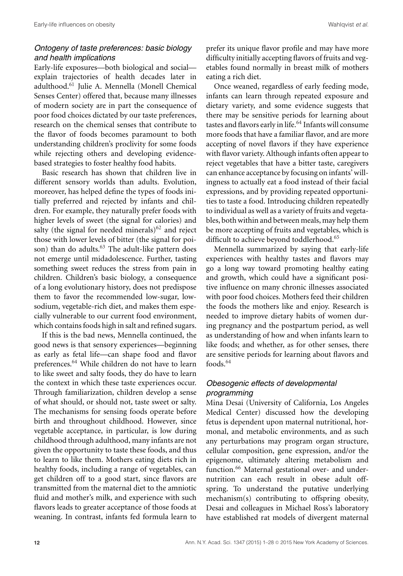# *Ontogeny of taste preferences: basic biology and health implications*

Early-life exposures—both biological and social explain trajectories of health decades later in adulthood.<sup>61</sup> Julie A. Mennella (Monell Chemical Senses Center) offered that, because many illnesses of modern society are in part the consequence of poor food choices dictated by our taste preferences, research on the chemical senses that contribute to the flavor of foods becomes paramount to both understanding children's proclivity for some foods while rejecting others and developing evidencebased strategies to foster healthy food habits.

Basic research has shown that children live in different sensory worlds than adults. Evolution, moreover, has helped define the types of foods initially preferred and rejected by infants and children. For example, they naturally prefer foods with higher levels of sweet (the signal for calories) and salty (the signal for needed minerals) $62$  and reject those with lower levels of bitter (the signal for poison) than do adults.<sup>63</sup> The adult-like pattern does not emerge until midadolescence. Further, tasting something sweet reduces the stress from pain in children. Children's basic biology, a consequence of a long evolutionary history, does not predispose them to favor the recommended low-sugar, lowsodium, vegetable-rich diet, and makes them especially vulnerable to our current food environment, which contains foods high in salt and refined sugars.

If this is the bad news, Mennella continued, the good news is that sensory experiences—beginning as early as fetal life—can shape food and flavor preferences.<sup>64</sup> While children do not have to learn to like sweet and salty foods, they do have to learn the context in which these taste experiences occur. Through familiarization, children develop a sense of what should, or should not, taste sweet or salty. The mechanisms for sensing foods operate before birth and throughout childhood. However, since vegetable acceptance, in particular, is low during childhood through adulthood, many infants are not given the opportunity to taste these foods, and thus to learn to like them. Mothers eating diets rich in healthy foods, including a range of vegetables, can get children off to a good start, since flavors are transmitted from the maternal diet to the amniotic fluid and mother's milk, and experience with such flavors leads to greater acceptance of those foods at weaning. In contrast, infants fed formula learn to

prefer its unique flavor profile and may have more difficulty initially accepting flavors of fruits and vegetables found normally in breast milk of mothers eating a rich diet.

Once weaned, regardless of early feeding mode, infants can learn through repeated exposure and dietary variety, and some evidence suggests that there may be sensitive periods for learning about tastes and flavors early in life.<sup>64</sup> Infants will consume more foods that have a familiar flavor, and are more accepting of novel flavors if they have experience with flavor variety. Although infants often appear to reject vegetables that have a bitter taste, caregivers can enhance acceptance by focusing on infants' willingness to actually eat a food instead of their facial expressions, and by providing repeated opportunities to taste a food. Introducing children repeatedly to individual as well as a variety of fruits and vegetables, both within and between meals, may help them be more accepting of fruits and vegetables, which is difficult to achieve beyond toddlerhood.<sup>65</sup>

Mennella summarized by saying that early-life experiences with healthy tastes and flavors may go a long way toward promoting healthy eating and growth, which could have a significant positive influence on many chronic illnesses associated with poor food choices. Mothers feed their children the foods the mothers like and enjoy. Research is needed to improve dietary habits of women during pregnancy and the postpartum period, as well as understanding of how and when infants learn to like foods; and whether, as for other senses, there are sensitive periods for learning about flavors and foods.<sup>64</sup>

# *Obesogenic effects of developmental programming*

Mina Desai (University of California, Los Angeles Medical Center) discussed how the developing fetus is dependent upon maternal nutritional, hormonal, and metabolic environments, and as such any perturbations may program organ structure, cellular composition, gene expression, and/or the epigenome, ultimately altering metabolism and function.<sup>66</sup> Maternal gestational over- and undernutrition can each result in obese adult offspring. To understand the putative underlying mechanism(s) contributing to offspring obesity, Desai and colleagues in Michael Ross's laboratory have established rat models of divergent maternal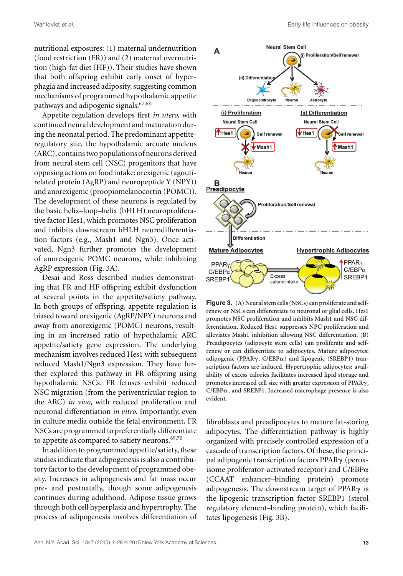nutritional exposures: (1) maternal undernutrition (food restriction (FR)) and (2) maternal overnutrition (high-fat diet (HF)). Their studies have shown that both offspring exhibit early onset of hyperphagia and increased adiposity, suggesting common mechanisms of programmed hypothalamic appetite pathways and adipogenic signals.67,68

Appetite regulation develops first *in utero*, with continued neural development and maturation during the neonatal period. The predominant appetiteregulatory site, the hypothalamic arcuate nucleus (ARC), contains two populations of neurons derived from neural stem cell (NSC) progenitors that have opposing actions onfood intake: orexigenic (agoutirelated protein (AgRP) and neuropeptide Y (NPY)) and anorexigenic (proopiomelanocortin (POMC)). The development of these neurons is regulated by the basic helix–loop–helix (bHLH) neuroproliferative factor Hes1, which promotes NSC proliferation and inhibits downstream bHLH neurodifferentiation factors (e.g., Mash1 and Ngn3). Once activated, Ngn3 further promotes the development of anorexigenic POMC neurons, while inhibiting AgRP expression (Fig. 3A).

Desai and Ross described studies demonstrating that FR and HF offspring exhibit dysfunction at several points in the appetite/satiety pathway. In both groups of offspring, appetite regulation is biased toward orexigenic (AgRP/NPY) neurons and away from anorexigenic (POMC) neurons, resulting in an increased ratio of hypothalamic ARC appetite/satiety gene expression. The underlying mechanism involves reduced Hes1 with subsequent reduced Mash1/Ngn3 expression. They have further explored this pathway in FR offspring using hypothalamic NSCs. FR fetuses exhibit reduced NSC migration (from the periventricular region to the ARC) *in vivo*, with reduced proliferation and neuronal differentiation *in vitro*. Importantly, even in culture media outside the fetal environment, FR NSCs are programmed to preferentially differentiate to appetite as compared to satiety neurons.<sup>69,70</sup>

In addition to programmed appetite/satiety, these studies indicate that adipogenesis is also a contributory factor to the development of programmed obesity. Increases in adipogenesis and fat mass occur pre- and postnatally, though some adipogenesis continues during adulthood. Adipose tissue grows through both cell hyperplasia and hypertrophy. The process of adipogenesis involves differentiation of



**Figure 3. (A) Neural stem cells (NSCs) can proliferate and selfrenew or NSCs can differentiate to neuronal or glial cells. Hes1 promotes NSC proliferation and inhibits Mash1 and NSC differentiation. Reduced Hes1 suppresses NPC proliferation and alleviates Mash1 inhibition allowing NSC differentiation. (B) Preadipocytes (adipocyte stem cells) can proliferate and selfrenew or can differentiate to adipocytes. Mature adipocytes:** adipogenic (PPAR $\gamma$ , C/EBP $\alpha$ ) and lipogenic (SREBP1) tran**scription factors are induced. Hypertrophic adipocytes: availability of excess calories facilitates increased lipid storage and** promotes increased cell size with greater expression of PPAR $\gamma$ , **C/EBP, and SREBP1. Increased macrophage presence is also evident.**

fibroblasts and preadipocytes to mature fat-storing adipocytes. The differentiation pathway is highly organized with precisely controlled expression of a cascade of transcription factors. Of these, the principal adipogenic transcription factors PPAR $\gamma$  (peroxisome proliferator-activated receptor) and  $C/EBP\alpha$ (CCAAT enhancer–binding protein) promote adipogenesis. The downstream target of PPARy is the lipogenic transcription factor SREBP1 (sterol regulatory element–binding protein), which facilitates lipogenesis (Fig. 3B).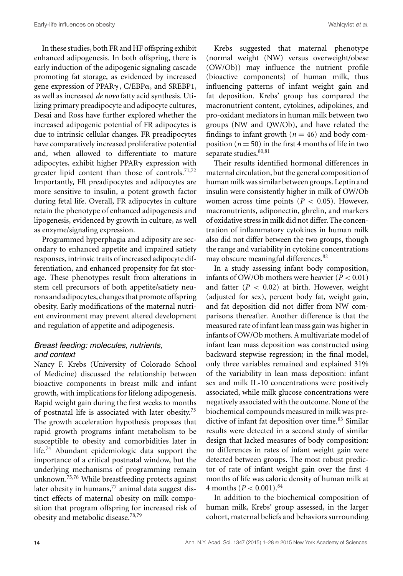In these studies, both FR and HF offspring exhibit enhanced adipogenesis. In both offspring, there is early induction of the adipogenic signaling cascade promoting fat storage, as evidenced by increased gene expression of PPARy, C/EBPa, and SREBP1, as well as increased *de novo* fatty acid synthesis. Utilizing primary preadipocyte and adipocyte cultures, Desai and Ross have further explored whether the increased adipogenic potential of FR adipocytes is due to intrinsic cellular changes. FR preadipocytes have comparatively increased proliferative potential and, when allowed to differentiate to mature adipocytes, exhibit higher PPARy expression with greater lipid content than those of controls.<sup>71,72</sup> Importantly, FR preadipocytes and adipocytes are more sensitive to insulin, a potent growth factor during fetal life. Overall, FR adipocytes in culture retain the phenotype of enhanced adipogenesis and lipogenesis, evidenced by growth in culture, as well as enzyme/signaling expression.

Programmed hyperphagia and adiposity are secondary to enhanced appetite and impaired satiety responses, intrinsic traits of increased adipocyte differentiation, and enhanced propensity for fat storage. These phenotypes result from alterations in stem cell precursors of both appetite/satiety neurons and adipocytes, changes that promote offspring obesity. Early modifications of the maternal nutrient environment may prevent altered development and regulation of appetite and adipogenesis.

# *Breast feeding: molecules, nutrients, and context*

Nancy F. Krebs (University of Colorado School of Medicine) discussed the relationship between bioactive components in breast milk and infant growth, with implications for lifelong adipogenesis. Rapid weight gain during the first weeks to months of postnatal life is associated with later obesity.<sup>73</sup> The growth acceleration hypothesis proposes that rapid growth programs infant metabolism to be susceptible to obesity and comorbidities later in life.<sup>74</sup> Abundant epidemiologic data support the importance of a critical postnatal window, but the underlying mechanisms of programming remain unknown.75,76 While breastfeeding protects against later obesity in humans, $^{77}$  animal data suggest distinct effects of maternal obesity on milk composition that program offspring for increased risk of obesity and metabolic disease.78,79

Krebs suggested that maternal phenotype (normal weight (NW) versus overweight/obese (OW/Ob)) may influence the nutrient profile (bioactive components) of human milk, thus influencing patterns of infant weight gain and fat deposition. Krebs' group has compared the macronutrient content, cytokines, adipokines, and pro-oxidant mediators in human milk between two groups (NW and QW/Ob), and have related the findings to infant growth  $(n = 46)$  and body composition ( $n = 50$ ) in the first 4 months of life in two separate studies. 80,81

Their results identified hormonal differences in maternal circulation, but the general composition of human milk was similar between groups. Leptin and insulin were consistently higher in milk of OW/Ob women across time points ( $P < 0.05$ ). However, macronutrients, adiponectin, ghrelin, and markers of oxidative stress in milk did not differ. The concentration of inflammatory cytokines in human milk also did not differ between the two groups, though the range and variability in cytokine concentrations may obscure meaningful differences.<sup>82</sup>

In a study assessing infant body composition, infants of OW/Ob mothers were heavier  $(P < 0.01)$ and fatter  $(P < 0.02)$  at birth. However, weight (adjusted for sex), percent body fat, weight gain, and fat deposition did not differ from NW comparisons thereafter. Another difference is that the measured rate of infant lean mass gain was higher in infants of OW/Ob mothers. A multivariate model of infant lean mass deposition was constructed using backward stepwise regression; in the final model, only three variables remained and explained 31% of the variability in lean mass deposition: infant sex and milk IL-10 concentrations were positively associated, while milk glucose concentrations were negatively associated with the outcome. None of the biochemical compounds measured in milk was predictive of infant fat deposition over time.<sup>83</sup> Similar results were detected in a second study of similar design that lacked measures of body composition: no differences in rates of infant weight gain were detected between groups. The most robust predictor of rate of infant weight gain over the first 4 months of life was caloric density of human milk at 4 months ( $P < 0.001$ ).<sup>84</sup>

In addition to the biochemical composition of human milk, Krebs' group assessed, in the larger cohort, maternal beliefs and behaviors surrounding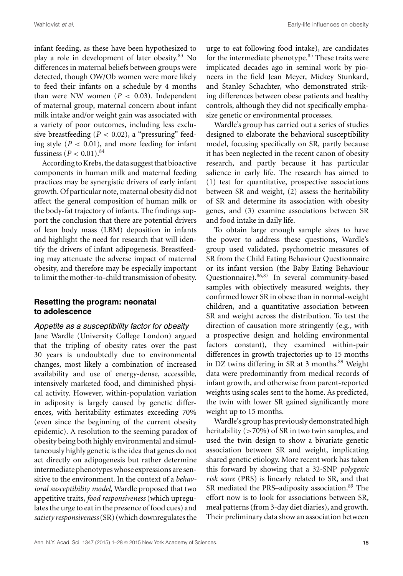infant feeding, as these have been hypothesized to play a role in development of later obesity.<sup>83</sup> No differences in maternal beliefs between groups were detected, though OW/Ob women were more likely to feed their infants on a schedule by 4 months than were NW women  $(P < 0.03)$ . Independent of maternal group, maternal concern about infant milk intake and/or weight gain was associated with a variety of poor outcomes, including less exclusive breastfeeding  $(P < 0.02)$ , a "pressuring" feeding style  $(P < 0.01)$ , and more feeding for infant fussiness ( $P < 0.01$ ).<sup>84</sup>

According to Krebs, the data suggest that bioactive components in human milk and maternal feeding practices may be synergistic drivers of early infant growth. Of particular note, maternal obesity did not affect the general composition of human milk or the body-fat trajectory of infants. The findings support the conclusion that there are potential drivers of lean body mass (LBM) deposition in infants and highlight the need for research that will identify the drivers of infant adipogenesis. Breastfeeding may attenuate the adverse impact of maternal obesity, and therefore may be especially important to limit the mother-to-child transmission of obesity.

### **Resetting the program: neonatal to adolescence**

#### *Appetite as a susceptibility factor for obesity*

Jane Wardle (University College London) argued that the tripling of obesity rates over the past 30 years is undoubtedly due to environmental changes, most likely a combination of increased availability and use of energy-dense, accessible, intensively marketed food, and diminished physical activity. However, within-population variation in adiposity is largely caused by genetic differences, with heritability estimates exceeding 70% (even since the beginning of the current obesity epidemic). A resolution to the seeming paradox of obesity being both highly environmental and simultaneously highly genetic is the idea that genes do not act directly on adipogenesis but rather determine intermediate phenotypes whose expressions are sensitive to the environment. In the context of a *behavioral susceptibility model*, Wardle proposed that two appetitive traits, *food responsiveness* (which upregulates the urge to eat in the presence of food cues) and *satiety responsiveness*(SR) (which downregulates the

urge to eat following food intake), are candidates for the intermediate phenotype.<sup>85</sup> These traits were implicated decades ago in seminal work by pioneers in the field Jean Meyer, Mickey Stunkard, and Stanley Schachter, who demonstrated striking differences between obese patients and healthy controls, although they did not specifically emphasize genetic or environmental processes.

Wardle's group has carried out a series of studies designed to elaborate the behavioral susceptibility model, focusing specifically on SR, partly because it has been neglected in the recent canon of obesity research, and partly because it has particular salience in early life. The research has aimed to (1) test for quantitative, prospective associations between SR and weight, (2) assess the heritability of SR and determine its association with obesity genes, and (3) examine associations between SR and food intake in daily life.

To obtain large enough sample sizes to have the power to address these questions, Wardle's group used validated, psychometric measures of SR from the Child Eating Behaviour Questionnaire or its infant version (the Baby Eating Behaviour Questionnaire).86,87 In several community-based samples with objectively measured weights, they confirmed lower SR in obese than in normal-weight children, and a quantitative association between SR and weight across the distribution. To test the direction of causation more stringently (e.g., with a prospective design and holding environmental factors constant), they examined within-pair differences in growth trajectories up to 15 months in DZ twins differing in SR at 3 months.<sup>89</sup> Weight data were predominantly from medical records of infant growth, and otherwise from parent-reported weights using scales sent to the home. As predicted, the twin with lower SR gained significantly more weight up to 15 months.

Wardle's group has previously demonstrated high heritability (>70%) of SR in two twin samples, and used the twin design to show a bivariate genetic association between SR and weight, implicating shared genetic etiology. More recent work has taken this forward by showing that a 32-SNP *polygenic risk score* (PRS) is linearly related to SR, and that SR mediated the PRS–adiposity association.<sup>89</sup> The effort now is to look for associations between SR, meal patterns (from 3-day diet diaries), and growth. Their preliminary data show an association between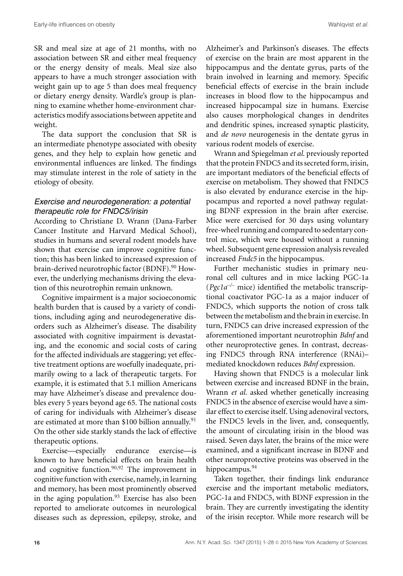SR and meal size at age of 21 months, with no association between SR and either meal frequency or the energy density of meals. Meal size also appears to have a much stronger association with weight gain up to age 5 than does meal frequency or dietary energy density. Wardle's group is planning to examine whether home-environment characteristics modify associations between appetite and weight.

The data support the conclusion that SR is an intermediate phenotype associated with obesity genes, and they help to explain how genetic and environmental influences are linked. The findings may stimulate interest in the role of satiety in the etiology of obesity.

### *Exercise and neurodegeneration: a potential therapeutic role for FNDC5/irisin*

According to Christiane D. Wrann (Dana-Farber Cancer Institute and Harvard Medical School), studies in humans and several rodent models have shown that exercise can improve cognitive function; this has been linked to increased expression of brain-derived neurotrophic factor (BDNF).<sup>90</sup> However, the underlying mechanisms driving the elevation of this neurotrophin remain unknown.

Cognitive impairment is a major socioeconomic health burden that is caused by a variety of conditions, including aging and neurodegenerative disorders such as Alzheimer's disease. The disability associated with cognitive impairment is devastating, and the economic and social costs of caring for the affected individuals are staggering; yet effective treatment options are woefully inadequate, primarily owing to a lack of therapeutic targets. For example, it is estimated that 5.1 million Americans may have Alzheimer's disease and prevalence doubles every 5 years beyond age 65. The national costs of caring for individuals with Alzheimer's disease are estimated at more than \$100 billion annually.<sup>91</sup> On the other side starkly stands the lack of effective therapeutic options.

Exercise—especially endurance exercise—is known to have beneficial effects on brain health and cognitive function.90,92 The improvement in cognitive function with exercise, namely, in learning and memory, has been most prominently observed in the aging population.<sup>93</sup> Exercise has also been reported to ameliorate outcomes in neurological diseases such as depression, epilepsy, stroke, and Alzheimer's and Parkinson's diseases. The effects of exercise on the brain are most apparent in the hippocampus and the dentate gyrus, parts of the brain involved in learning and memory. Specific beneficial effects of exercise in the brain include increases in blood flow to the hippocampus and increased hippocampal size in humans. Exercise also causes morphological changes in dendrites and dendritic spines, increased synaptic plasticity, and *de novo* neurogenesis in the dentate gyrus in various rodent models of exercise.

Wrann and Spiegelman *et al.* previously reported that the protein FNDC5 and its secreted form, irisin, are important mediators of the beneficial effects of exercise on metabolism. They showed that FNDC5 is also elevated by endurance exercise in the hippocampus and reported a novel pathway regulating BDNF expression in the brain after exercise. Mice were exercised for 30 days using voluntary free-wheel running and compared to sedentary control mice, which were housed without a running wheel. Subsequent gene expression analysis revealed increased *Fndc5* in the hippocampus.

Further mechanistic studies in primary neuronal cell cultures and in mice lacking PGC-1a (*Pgc1a–/–* mice) identified the metabolic transcriptional coactivator PGC-1a as a major inducer of FNDC5, which supports the notion of cross talk between the metabolism and the brain in exercise. In turn, FNDC5 can drive increased expression of the aforementioned important neurotrophin *Bdnf* and other neuroprotective genes. In contrast, decreasing FNDC5 through RNA interference (RNAi)– mediated knockdown reduces *Bdnf* expression.

Having shown that FNDC5 is a molecular link between exercise and increased BDNF in the brain, Wrann *et al.* asked whether genetically increasing FNDC5 in the absence of exercise would have a similar effect to exercise itself. Using adenoviral vectors, the FNDC5 levels in the liver, and, consequently, the amount of circulating irisin in the blood was raised. Seven days later, the brains of the mice were examined, and a significant increase in BDNF and other neuroprotective proteins was observed in the hippocampus.<sup>94</sup>

Taken together, their findings link endurance exercise and the important metabolic mediators, PGC-1a and FNDC5, with BDNF expression in the brain. They are currently investigating the identity of the irisin receptor. While more research will be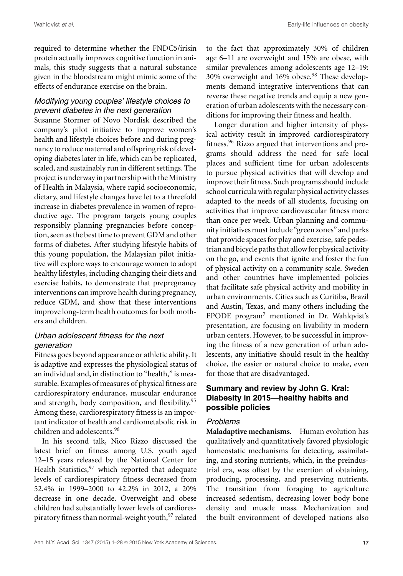Wahlqvist *et al.* Early-life influences on obesity

required to determine whether the FNDC5/irisin protein actually improves cognitive function in animals, this study suggests that a natural substance given in the bloodstream might mimic some of the effects of endurance exercise on the brain.

# *Modifying young couples' lifestyle choices to prevent diabetes in the next generation*

Susanne Stormer of Novo Nordisk described the company's pilot initiative to improve women's health and lifestyle choices before and during pregnancy to reduce maternal and offspring risk of developing diabetes later in life, which can be replicated, scaled, and sustainably run in different settings. The project is underway in partnership with the Ministry of Health in Malaysia, where rapid socioeconomic, dietary, and lifestyle changes have let to a threefold increase in diabetes prevalence in women of reproductive age. The program targets young couples responsibly planning pregnancies before conception, seen as the best time to prevent GDM and other forms of diabetes. After studying lifestyle habits of this young population, the Malaysian pilot initiative will explore ways to encourage women to adopt healthy lifestyles, including changing their diets and exercise habits, to demonstrate that prepregnancy interventions can improve health during pregnancy, reduce GDM, and show that these interventions improve long-term health outcomes for both mothers and children.

# *Urban adolescent fitness for the next generation*

Fitness goes beyond appearance or athletic ability. It is adaptive and expresses the physiological status of an individual and, in distinction to "health," is measurable. Examples of measures of physical fitness are cardiorespiratory endurance, muscular endurance and strength, body composition, and flexibility.<sup>95</sup> Among these, cardiorespiratory fitness is an important indicator of health and cardiometabolic risk in children and adolescents.<sup>96</sup>

In his second talk, Nico Rizzo discussed the latest brief on fitness among U.S. youth aged 12–15 years released by the National Center for Health Statistics,  $97$  which reported that adequate levels of cardiorespiratory fitness decreased from 52.4% in 1999–2000 to 42.2% in 2012, a 20% decrease in one decade. Overweight and obese children had substantially lower levels of cardiorespiratory fitness than normal-weight youth, <sup>97</sup> related to the fact that approximately 30% of children age 6–11 are overweight and 15% are obese, with similar prevalences among adolescents age 12–19: 30% overweight and 16% obese.<sup>98</sup> These developments demand integrative interventions that can reverse these negative trends and equip a new generation of urban adolescents with the necessary conditions for improving their fitness and health.

Longer duration and higher intensity of physical activity result in improved cardiorespiratory fitness.<sup>96</sup> Rizzo argued that interventions and programs should address the need for safe local places and sufficient time for urban adolescents to pursue physical activities that will develop and improve their fitness. Such programs should include school curricula with regular physical activity classes adapted to the needs of all students, focusing on activities that improve cardiovascular fitness more than once per week. Urban planning and community initiatives must include "green zones" and parks that provide spaces for play and exercise, safe pedestrian and bicycle paths that allowfor physical activity on the go, and events that ignite and foster the fun of physical activity on a community scale. Sweden and other countries have implemented policies that facilitate safe physical activity and mobility in urban environments. Cities such as Curitiba, Brazil and Austin, Texas, and many others including the EPODE program<sup>7</sup> mentioned in Dr. Wahlqvist's presentation, are focusing on livability in modern urban centers. However, to be successful in improving the fitness of a new generation of urban adolescents, any initiative should result in the healthy choice, the easier or natural choice to make, even for those that are disadvantaged.

# **Summary and review by John G. Kral: Diabesity in 2015—healthy habits and possible policies**

# *Problems*

**Maladaptive mechanisms.** Human evolution has qualitatively and quantitatively favored physiologic homeostatic mechanisms for detecting, assimilating, and storing nutrients, which, in the preindustrial era, was offset by the exertion of obtaining, producing, processing, and preserving nutrients. The transition from foraging to agriculture increased sedentism, decreasing lower body bone density and muscle mass. Mechanization and the built environment of developed nations also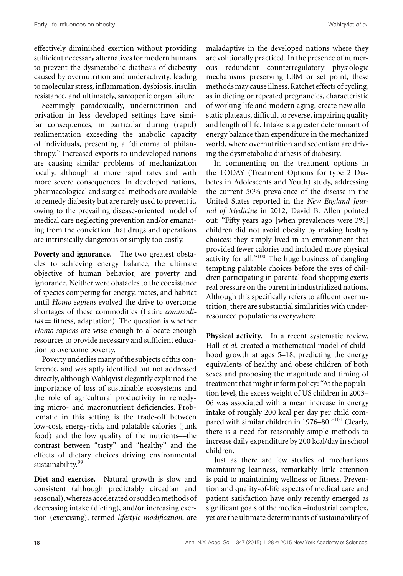effectively diminished exertion without providing sufficient necessary alternatives for modern humans to prevent the dysmetabolic diathesis of diabesity caused by overnutrition and underactivity, leading to molecular stress, inflammation, dysbiosis, insulin resistance, and ultimately, sarcopenic organ failure.

Seemingly paradoxically, undernutrition and privation in less developed settings have similar consequences, in particular during (rapid) realimentation exceeding the anabolic capacity of individuals, presenting a "dilemma of philanthropy." Increased exports to undeveloped nations are causing similar problems of mechanization locally, although at more rapid rates and with more severe consequences. In developed nations, pharmacological and surgical methods are available to remedy diabesity but are rarely used to prevent it, owing to the prevailing disease-oriented model of medical care neglecting prevention and/or emanating from the conviction that drugs and operations are intrinsically dangerous or simply too costly.

**Poverty and ignorance.** The two greatest obstacles to achieving energy balance, the ultimate objective of human behavior, are poverty and ignorance. Neither were obstacles to the coexistence of species competing for energy, mates, and habitat until *Homo sapiens* evolved the drive to overcome shortages of these commodities (Latin: *commoditas* = fitness, adaptation). The question is whether *Homo sapiens* are wise enough to allocate enough resources to provide necessary and sufficient education to overcome poverty.

Poverty underlies many of the subjects of this conference, and was aptly identified but not addressed directly, although Wahlqvist elegantly explained the importance of loss of sustainable ecosystems and the role of agricultural productivity in remedying micro- and macronutrient deficiencies. Problematic in this setting is the trade-off between low-cost, energy-rich, and palatable calories (junk food) and the low quality of the nutrients––the contrast between "tasty" and "healthy" and the effects of dietary choices driving environmental sustainability.<sup>99</sup>

**Diet and exercise.** Natural growth is slow and consistent (although predictably circadian and seasonal), whereas accelerated or sudden methods of decreasing intake (dieting), and/or increasing exertion (exercising), termed *lifestyle modification*, are maladaptive in the developed nations where they are volitionally practiced. In the presence of numerous redundant counterregulatory physiologic mechanisms preserving LBM or set point, these methods may cause illness. Ratchet effects of cycling, as in dieting or repeated pregnancies, characteristic of working life and modern aging, create new allostatic plateaus, difficult to reverse, impairing quality and length of life. Intake is a greater determinant of energy balance than expenditure in the mechanized world, where overnutrition and sedentism are driving the dysmetabolic diathesis of diabesity.

In commenting on the treatment options in the TODAY (Treatment Options for type 2 Diabetes in Adolescents and Youth) study, addressing the current 50% prevalence of the disease in the United States reported in the *New England Journal of Medicine* in 2012, David B. Allen pointed out: "Fifty years ago [when prevalences were 3%] children did not avoid obesity by making healthy choices: they simply lived in an environment that provided fewer calories and included more physical activity for all."<sup>100</sup> The huge business of dangling tempting palatable choices before the eyes of children participating in parental food shopping exerts real pressure on the parent in industrialized nations. Although this specifically refers to affluent overnutrition, there are substantial similarities with underresourced populations everywhere.

Physical activity. In a recent systematic review, Hall *et al.* created a mathematical model of childhood growth at ages 5–18, predicting the energy equivalents of healthy and obese children of both sexes and proposing the magnitude and timing of treatment that might inform policy: "At the population level, the excess weight of US children in 2003– 06 was associated with a mean increase in energy intake of roughly 200 kcal per day per child compared with similar children in 1976–80."101 Clearly, there is a need for reasonably simple methods to increase daily expenditure by 200 kcal/day in school children.

Just as there are few studies of mechanisms maintaining leanness, remarkably little attention is paid to maintaining wellness or fitness. Prevention and quality-of-life aspects of medical care and patient satisfaction have only recently emerged as significant goals of the medical–industrial complex, yet are the ultimate determinants of sustainability of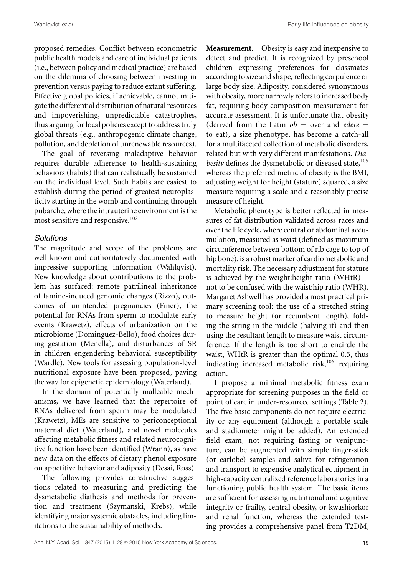proposed remedies. Conflict between econometric public health models and care of individual patients (i.e., between policy and medical practice) are based on the dilemma of choosing between investing in prevention versus paying to reduce extant suffering. Effective global policies, if achievable, cannot mitigate the differential distribution of natural resources and impoverishing, unpredictable catastrophes, thus arguing for local policies except to address truly global threats (e.g., anthropogenic climate change, pollution, and depletion of unrenewable resources).

The goal of reversing maladaptive behavior requires durable adherence to health-sustaining behaviors (habits) that can realistically be sustained on the individual level. Such habits are easiest to establish during the period of greatest neuroplasticity starting in the womb and continuing through pubarche, where the intrauterine environment is the most sensitive and responsive.<sup>102</sup>

#### *Solutions*

The magnitude and scope of the problems are well-known and authoritatively documented with impressive supporting information (Wahlqvist). New knowledge about contributions to the problem has surfaced: remote patrilineal inheritance of famine-induced genomic changes (Rizzo), outcomes of unintended pregnancies (Finer), the potential for RNAs from sperm to modulate early events (Krawetz), effects of urbanization on the microbiome (Dominguez-Bello), food choices during gestation (Menella), and disturbances of SR in children engendering behavioral susceptibility (Wardle). New tools for assessing population-level nutritional exposure have been proposed, paving the way for epigenetic epidemiology (Waterland).

In the domain of potentially malleable mechanisms, we have learned that the repertoire of RNAs delivered from sperm may be modulated (Krawetz), MEs are sensitive to periconceptional maternal diet (Waterland), and novel molecules affecting metabolic fitness and related neurocognitive function have been identified (Wrann), as have new data on the effects of dietary phenol exposure on appetitive behavior and adiposity (Desai, Ross).

The following provides constructive suggestions related to measuring and predicting the dysmetabolic diathesis and methods for prevention and treatment (Szymanski, Krebs), while identifying major systemic obstacles, including limitations to the sustainability of methods.

**Measurement.** Obesity is easy and inexpensive to detect and predict. It is recognized by preschool children expressing preferences for classmates according to size and shape, reflecting corpulence or large body size. Adiposity, considered synonymous with obesity, more narrowly refers to increased body fat, requiring body composition measurement for accurate assessment. It is unfortunate that obesity (derived from the Latin  $ob =$  over and *edere*  $=$ to eat), a size phenotype, has become a catch-all for a multifaceted collection of metabolic disorders, related but with very different manifestations. *Dia*besity defines the dysmetabolic or diseased state,<sup>105</sup> whereas the preferred metric of obesity is the BMI, adjusting weight for height (stature) squared, a size measure requiring a scale and a reasonably precise measure of height.

Metabolic phenotype is better reflected in measures of fat distribution validated across races and over the life cycle, where central or abdominal accumulation, measured as waist (defined as maximum circumference between bottom of rib cage to top of hip bone), is a robust marker of cardiometabolic and mortality risk. The necessary adjustment for stature is achieved by the weight:height ratio (WHtR) not to be confused with the waist:hip ratio (WHR). Margaret Ashwell has provided a most practical primary screening tool: the use of a stretched string to measure height (or recumbent length), folding the string in the middle (halving it) and then using the resultant length to measure waist circumference. If the length is too short to encircle the waist, WHtR is greater than the optimal 0.5, thus indicating increased metabolic risk,<sup>106</sup> requiring action.

I propose a minimal metabolic fitness exam appropriate for screening purposes in the field or point of care in under-resourced settings (Table 2). The five basic components do not require electricity or any equipment (although a portable scale and stadiometer might be added). An extended field exam, not requiring fasting or venipuncture, can be augmented with simple finger-stick (or earlobe) samples and saliva for refrigeration and transport to expensive analytical equipment in high-capacity centralized reference laboratories in a functioning public health system. The basic items are sufficient for assessing nutritional and cognitive integrity or frailty, central obesity, or kwashiorkor and renal function, whereas the extended testing provides a comprehensive panel from T2DM,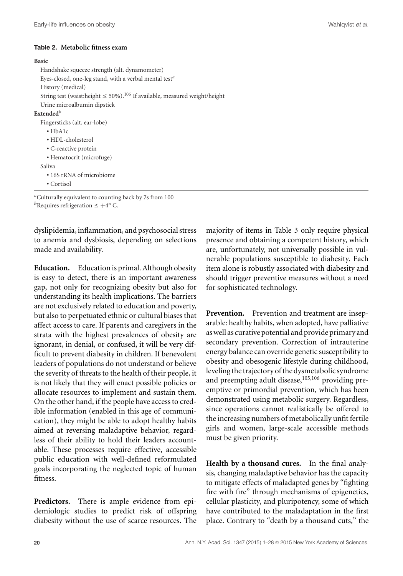#### **Table 2. Metabolic fitness exam**

#### **Basic**

Handshake squeeze strength (alt. dynamometer) Eyes-closed, one-leg stand, with a verbal mental test*<sup>a</sup>* History (medical) String test (waist:height  $\leq 50\%$ ).<sup>106</sup> If available, measured weight/height Urine microalbumin dipstick **Extended***<sup>b</sup>* Fingersticks (alt. ear-lobe) • HbA1c • HDL-cholesterol • C-reactive protein • Hematocrit (microfuge) Saliva • 16S rRNA of microbiome • Cortisol

*<sup>a</sup>*Culturally equivalent to counting back by 7s from 100 *b*Requires refrigeration  $\leq +4^{\circ}$  C.

dyslipidemia, inflammation, and psychosocial stress to anemia and dysbiosis, depending on selections made and availability.

**Education.** Education is primal. Although obesity is easy to detect, there is an important awareness gap, not only for recognizing obesity but also for understanding its health implications. The barriers are not exclusively related to education and poverty, but also to perpetuated ethnic or cultural biases that affect access to care. If parents and caregivers in the strata with the highest prevalences of obesity are ignorant, in denial, or confused, it will be very difficult to prevent diabesity in children. If benevolent leaders of populations do not understand or believe the severity of threats to the health of their people, it is not likely that they will enact possible policies or allocate resources to implement and sustain them. On the other hand, if the people have access to credible information (enabled in this age of communication), they might be able to adopt healthy habits aimed at reversing maladaptive behavior, regardless of their ability to hold their leaders accountable. These processes require effective, accessible public education with well-defined reformulated goals incorporating the neglected topic of human fitness.

**Predictors.** There is ample evidence from epidemiologic studies to predict risk of offspring diabesity without the use of scarce resources. The majority of items in Table 3 only require physical presence and obtaining a competent history, which are, unfortunately, not universally possible in vulnerable populations susceptible to diabesity. Each item alone is robustly associated with diabesity and should trigger preventive measures without a need for sophisticated technology.

**Prevention.** Prevention and treatment are inseparable: healthy habits, when adopted, have palliative aswell as curative potential and provide primary and secondary prevention. Correction of intrauterine energy balance can override genetic susceptibility to obesity and obesogenic lifestyle during childhood, leveling the trajectory of the dysmetabolic syndrome and preempting adult disease,<sup>105,106</sup> providing preemptive or primordial prevention, which has been demonstrated using metabolic surgery. Regardless, since operations cannot realistically be offered to the increasing numbers of metabolically unfit fertile girls and women, large-scale accessible methods must be given priority.

**Health by a thousand cures.** In the final analysis, changing maladaptive behavior has the capacity to mitigate effects of maladapted genes by "fighting fire with fire" through mechanisms of epigenetics, cellular plasticity, and pluripotency, some of which have contributed to the maladaptation in the first place. Contrary to "death by a thousand cuts," the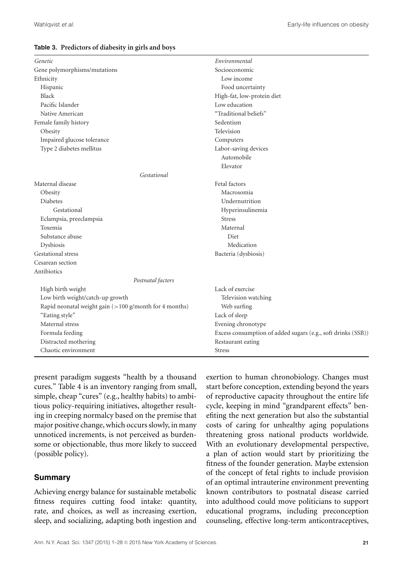#### **Table 3. Predictors of diabesity in girls and boys**

| Genetic                                                  | Environmental                                                |  |  |  |
|----------------------------------------------------------|--------------------------------------------------------------|--|--|--|
| Gene polymorphisms/mutations                             | Socioeconomic                                                |  |  |  |
| Ethnicity                                                | Low income                                                   |  |  |  |
| Hispanic                                                 | Food uncertainty                                             |  |  |  |
| <b>Black</b>                                             | High-fat, low-protein diet                                   |  |  |  |
| Pacific Islander                                         | Low education                                                |  |  |  |
| Native American                                          | "Traditional beliefs"                                        |  |  |  |
| Female family history                                    | Sedentism                                                    |  |  |  |
| Obesity                                                  | Television                                                   |  |  |  |
| Impaired glucose tolerance                               | Computers                                                    |  |  |  |
| Type 2 diabetes mellitus                                 | Labor-saving devices                                         |  |  |  |
|                                                          | Automobile                                                   |  |  |  |
|                                                          | Elevator                                                     |  |  |  |
| Gestational                                              |                                                              |  |  |  |
| Maternal disease                                         | Fetal factors                                                |  |  |  |
| Obesity                                                  | Macrosomia                                                   |  |  |  |
| <b>Diabetes</b>                                          | Undernutrition                                               |  |  |  |
| Gestational                                              | Hyperinsulinemia                                             |  |  |  |
| Eclampsia, preeclampsia                                  | <b>Stress</b>                                                |  |  |  |
| Toxemia                                                  | Maternal                                                     |  |  |  |
| Substance abuse                                          | Diet                                                         |  |  |  |
| Dysbiosis                                                | Medication                                                   |  |  |  |
| <b>Gestational stress</b>                                | Bacteria (dysbiosis)                                         |  |  |  |
| Cesarean section                                         |                                                              |  |  |  |
| Antibiotics                                              |                                                              |  |  |  |
| Postnatal factors                                        |                                                              |  |  |  |
| High birth weight                                        | Lack of exercise                                             |  |  |  |
| Low birth weight/catch-up growth                         | Television watching                                          |  |  |  |
| Rapid neonatal weight gain $(>100$ g/month for 4 months) | Web surfing                                                  |  |  |  |
| "Eating style"                                           | Lack of sleep                                                |  |  |  |
| Maternal stress                                          | Evening chronotype                                           |  |  |  |
| Formula feeding                                          | Excess consumption of added sugars (e.g., soft drinks (SSB)) |  |  |  |
| Distracted mothering                                     | Restaurant eating                                            |  |  |  |
| Chaotic environment                                      | <b>Stress</b>                                                |  |  |  |

present paradigm suggests "health by a thousand cures." Table 4 is an inventory ranging from small, simple, cheap "cures" (e.g., healthy habits) to ambitious policy-requiring initiatives, altogether resulting in creeping normalcy based on the premise that major positive change, which occurs slowly, in many unnoticed increments, is not perceived as burdensome or objectionable, thus more likely to succeed (possible policy).

# **Summary**

Achieving energy balance for sustainable metabolic fitness requires cutting food intake: quantity, rate, and choices, as well as increasing exertion, sleep, and socializing, adapting both ingestion and exertion to human chronobiology. Changes must start before conception, extending beyond the years of reproductive capacity throughout the entire life cycle, keeping in mind "grandparent effects" benefiting the next generation but also the substantial costs of caring for unhealthy aging populations threatening gross national products worldwide. With an evolutionary developmental perspective, a plan of action would start by prioritizing the fitness of the founder generation. Maybe extension of the concept of fetal rights to include provision of an optimal intrauterine environment preventing known contributors to postnatal disease carried into adulthood could move politicians to support educational programs, including preconception counseling, effective long-term anticontraceptives,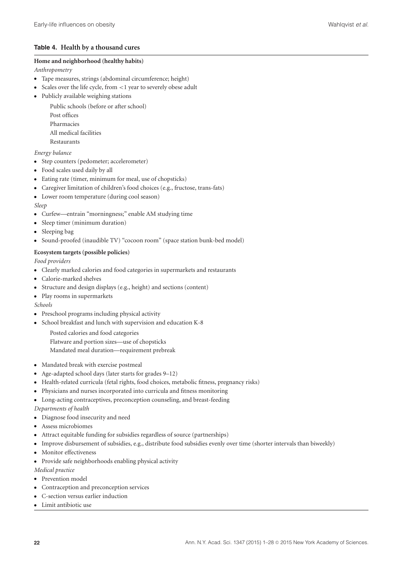#### **Table 4. Health by a thousand cures**

#### **Home and neighborhood (healthy habits)**

*Anthropometry*

- Tape measures, strings (abdominal circumference; height)
- Scales over the life cycle, from <1 year to severely obese adult
- Publicly available weighing stations
	- Public schools (before or after school)
	- Post offices
	- Pharmacies
	- All medical facilities
	- Restaurants

#### *Energy balance*

- Step counters (pedometer; accelerometer)
- Food scales used daily by all
- Eating rate (timer, minimum for meal, use of chopsticks)
- Caregiver limitation of children's food choices (e.g., fructose, trans-fats)
- Lower room temperature (during cool season)

#### *Sleep*

- Curfew—entrain "morningness;" enable AM studying time
- Sleep timer (minimum duration)
- Sleeping bag
- Sound-proofed (inaudible TV) "cocoon room" (space station bunk-bed model)

#### **Ecosystem targets (possible policies)**

*Food providers*

- Clearly marked calories and food categories in supermarkets and restaurants
- Calorie-marked shelves
- -Structure and design displays (e.g., height) and sections (content)
- Play rooms in supermarkets

*Schools*

- Preschool programs including physical activity
- - School breakfast and lunch with supervision and education K-8
	- Posted calories and food categories Flatware and portion sizes—use of chopsticks
	- Mandated meal duration—requirement prebreak
- Mandated break with exercise postmeal
- Age-adapted school days (later starts for grades 9–12)
- Health-related curricula (fetal rights, food choices, metabolic fitness, pregnancy risks)
- Physicians and nurses incorporated into curricula and fitness monitoring
- Long-acting contraceptives, preconception counseling, and breast-feeding

*Departments of health*

- Diagnose food insecurity and need
- Assess microbiomes
- Attract equitable funding for subsidies regardless of source (partnerships)
- Improve disbursement of subsidies, e.g., distribute food subsidies evenly over time (shorter intervals than biweekly)
- **Monitor** effectiveness
- Provide safe neighborhoods enabling physical activity

*Medical practice*

- Prevention model
- Contraception and preconception services
- C-section versus earlier induction
- Limit antibiotic use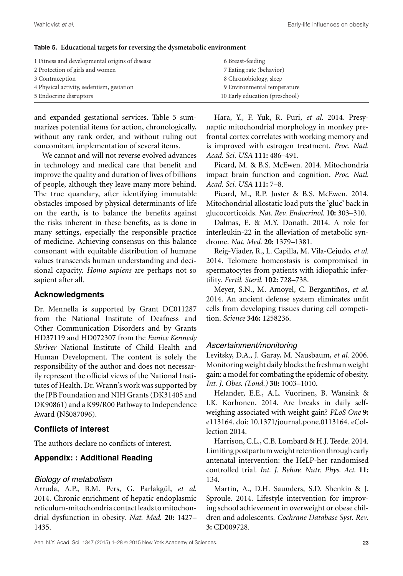| 1 Fitness and developmental origins of disease | 6 Breast-feeding               |
|------------------------------------------------|--------------------------------|
| 2 Protection of girls and women                | 7 Eating rate (behavior)       |
| 3 Contraception                                | 8 Chronobiology, sleep         |
| 4 Physical activity, sedentism, gestation      | 9 Environmental temperature    |
| 5 Endocrine disruptors                         | 10 Early education (preschool) |

**Table 5. Educational targets for reversing the dysmetabolic environment**

and expanded gestational services. Table 5 summarizes potential items for action, chronologically, without any rank order, and without ruling out concomitant implementation of several items.

We cannot and will not reverse evolved advances in technology and medical care that benefit and improve the quality and duration of lives of billions of people, although they leave many more behind. The true quandary, after identifying immutable obstacles imposed by physical determinants of life on the earth, is to balance the benefits against the risks inherent in these benefits, as is done in many settings, especially the responsible practice of medicine. Achieving consensus on this balance consonant with equitable distribution of humane values transcends human understanding and decisional capacity. *Homo sapiens* are perhaps not so sapient after all.

# **Acknowledgments**

Dr. Mennella is supported by Grant DC011287 from the National Institute of Deafness and Other Communication Disorders and by Grants HD37119 and HD072307 from the *Eunice Kennedy Shriver* National Institute of Child Health and Human Development. The content is solely the responsibility of the author and does not necessarily represent the official views of the National Institutes of Health. Dr. Wrann's work was supported by the JPB Foundation and NIH Grants (DK31405 and DK90861) and a K99/R00 Pathway to Independence Award (NS087096).

# **Conflicts of interest**

The authors declare no conflicts of interest.

# **Appendix: : Additional Reading**

#### *Biology of metabolism*

Arruda, A.P., B.M. Pers, G. Parlakgül, et al. 2014. Chronic enrichment of hepatic endoplasmic reticulum-mitochondria contact leads to mitochondrial dysfunction in obesity. *Nat. Med.* **20:** 1427– 1435.

Hara, Y., F. Yuk, R. Puri, *et al.* 2014. Presynaptic mitochondrial morphology in monkey prefrontal cortex correlates with working memory and is improved with estrogen treatment. *Proc. Natl. Acad. Sci. USA* **111:** 486–491.

Picard, M. & B.S. McEwen. 2014. Mitochondria impact brain function and cognition. *Proc. Natl. Acad. Sci. USA* **111:** 7–8.

Picard, M., R.P. Juster & B.S. McEwen. 2014. Mitochondrial allostatic load puts the 'gluc' back in glucocorticoids. *Nat. Rev. Endocrinol*. **10:** 303–310.

Dalmas, E. & M.Y. Donath. 2014. A role for interleukin-22 in the alleviation of metabolic syndrome. *Nat. Med.* **20:** 1379–1381.

Reig-Viader, R., L. Capilla, M. Vila-Cejudo, *et al.* 2014. Telomere homeostasis is compromised in spermatocytes from patients with idiopathic infertility. *Fertil. Steril*. **102:** 728–738.

Meyer, S.N., M. Amoyel, C. Bergantiños, et al. 2014. An ancient defense system eliminates unfit cells from developing tissues during cell competition. *Science* **346:** 1258236.

# *Ascertainment/monitoring*

Levitsky, D.A., J. Garay, M. Nausbaum, *et al.* 2006. Monitoring weight daily blocks the freshman weight gain: a model for combating the epidemic of obesity. *Int. J. Obes. (Lond.)* **30:** 1003–1010.

Helander, E.E., A.L. Vuorinen, B. Wansink & I.K. Korhonen. 2014. Are breaks in daily selfweighing associated with weight gain? *PLoS One* **9:** e113164. doi: 10.1371/journal.pone.0113164. eCollection 2014.

Harrison, C.L., C.B. Lombard & H.J. Teede. 2014. Limiting postpartumweight retention through early antenatal intervention: the HeLP-her randomised controlled trial*. Int. J. Behav. Nutr. Phys. Act*. **11:** 134.

Martin, A., D.H. Saunders, S.D. Shenkin & J. Sproule. 2014. Lifestyle intervention for improving school achievement in overweight or obese children and adolescents. *Cochrane Database Syst. Rev*. **3:** CD009728.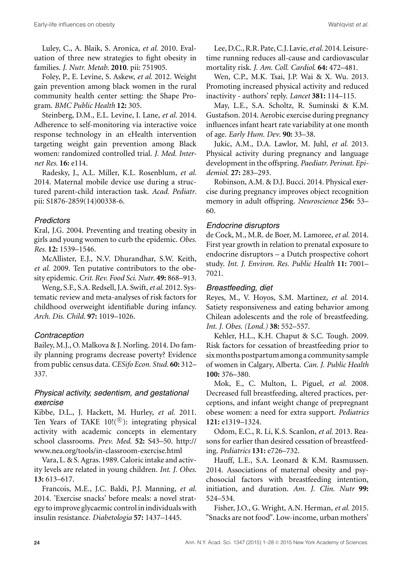Luley, C., A. Blaik, S. Aronica, *et al.* 2010. Evaluation of three new strategies to fight obesity in families. *J. Nutr. Metab*. **2010**. pii: 751905.

Foley, P., E. Levine, S. Askew, *et al.* 2012. Weight gain prevention among black women in the rural community health center setting: the Shape Program. *BMC Public Health* **12:** 305.

Steinberg, D.M., E.L. Levine, I. Lane, *et al.* 2014. Adherence to self-monitoring via interactive voice response technology in an eHealth intervention targeting weight gain prevention among Black women: randomized controlled trial. *J. Med. Internet Res.* **16:** e114.

Radesky, J., A.L. Miller, K.L. Rosenblum, *et al.* 2014. Maternal mobile device use during a structured parent-child interaction task. *Acad. Pediatr*. pii: S1876-2859(14)00338-6.

# *Predictors*

Kral, J.G. 2004. Preventing and treating obesity in girls and young women to curb the epidemic. *Obes. Res.* **12:** 1539–1546.

McAllister, E.J., N.V. Dhurandhar, S.W. Keith, *et al.* 2009. Ten putative contributors to the obesity epidemic. *Crit. Rev. Food Sci. Nutr*. **49:** 868–913.

Weng, S.F., S.A. Redsell, J.A. Swift,*et al.* 2012. Systematic review and meta-analyses of risk factors for childhood overweight identifiable during infancy. *Arch. Dis. Child*. **97:** 1019–1026.

# *Contraception*

Bailey, M.J., O. Malkova & J. Norling. 2014. Do family planning programs decrease poverty? Evidence from public census data. *CESifo Econ. Stud.* **60:** 312– 337.

# *Physical activity, sedentism, and gestational exercise*

Kibbe, D.L., J. Hackett, M. Hurley, *et al.* 2011. Ten Years of TAKE  $10!(^{\textcircled{\tiny{\text{R}}}})$ : integrating physical activity with academic concepts in elementary school classrooms. *Prev. Med*. **52:** S43–50. [http://](http://www.nea.org/tools/in-classroom-exercise.html) [www.nea.org/tools/in-classroom-exercise.html](http://www.nea.org/tools/in-classroom-exercise.html)

Vara, L. & S. Agras. 1989. Caloric intake and activity levels are related in young children*. Int. J. Obes*. **13:** 613–617.

Francois, M.E., J.C. Baldi, P.J. Manning, *et al.* 2014. 'Exercise snacks' before meals: a novel strategy to improve glycaemic control in individuals with insulin resistance. *Diabetologia* **57:** 1437–1445.

Lee, D.C., R.R. Pate, C.J. Lavie,*et al.* 2014. Leisuretime running reduces all-cause and cardiovascular mortality risk. *J. Am. Coll. Cardiol*. **64:** 472–481.

Wen, C.P., M.K. Tsai, J.P. Wai & X. Wu. 2013. Promoting increased physical activity and reduced inactivity - authors' reply. *Lancet* **381:** 114–115.

May, L.E., S.A. Scholtz, R. Suminski & K.M. Gustafson. 2014. Aerobic exercise during pregnancy influences infant heart rate variability at one month of age. *Early Hum. Dev*. **90:** 33–38.

Jukic, A.M., D.A. Lawlor, M. Juhl, *et al.* 2013. Physical activity during pregnancy and language development in the offspring. *Paediatr. Perinat. Epidemiol*. **27:** 283–293.

Robinson, A.M. & D.J. Bucci. 2014. Physical exercise during pregnancy improves object recognition memory in adult offspring. *Neuroscience* **256:** 53– 60.

# *Endocrine disruptors*

de Cock, M., M.R. de Boer, M. Lamoree, *et al.* 2014. First year growth in relation to prenatal exposure to endocrine disruptors – a Dutch prospective cohort study. *Int. J. Environ. Res. Public Health* **11:** 7001– 7021.

# *Breastfeeding, diet*

Reyes, M., V. Hoyos, S.M. Martinez, *et al.* 2014. Satiety responsiveness and eating behavior among Chilean adolescents and the role of breastfeeding. *Int. J. Obes. (Lond.)* **38:** 552–557.

Kehler, H.L., K.H. Chaput & S.C. Tough. 2009. Risk factors for cessation of breastfeeding prior to sixmonths postpartum among a community sample of women in Calgary, Alberta. *Can. J. Public Health* **100:** 376–380.

Mok, E., C. Multon, L. Piguel, *et al.* 2008. Decreased full breastfeeding, altered practices, perceptions, and infant weight change of prepregnant obese women: a need for extra support. *Pediatrics* **121:** e1319–1324.

Odom, E.C., R. Li, K.S. Scanlon, *et al.* 2013. Reasons for earlier than desired cessation of breastfeeding. *Pediatrics* **131:** e726–732.

Hauff, L.E., S.A. Leonard & K.M. Rasmussen. 2014. Associations of maternal obesity and psychosocial factors with breastfeeding intention, initiation, and duration. *Am. J. Clin. Nutr* **99:** 524–534.

Fisher, J.O., G. Wright, A.N. Herman, *et al.* 2015. "Snacks are not food". Low-income, urban mothers'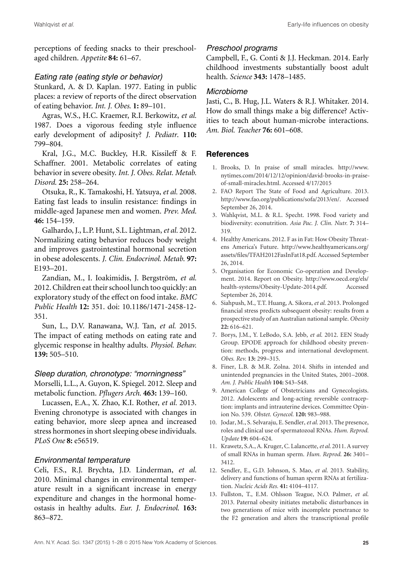perceptions of feeding snacks to their preschoolaged children. *Appetite* **84:** 61–67.

### *Eating rate (eating style or behavior)*

Stunkard, A. & D. Kaplan. 1977. Eating in public places: a review of reports of the direct observation of eating behavior. *Int. J. Obes*. **1:** 89–101.

Agras, W.S., H.C. Kraemer, R.I. Berkowitz, *et al.* 1987. Does a vigorous feeding style influence early development of adiposity? *J. Pediatr*. **110:** 799–804.

Kral, J.G., M.C. Buckley, H.R. Kissileff & F. Schaffner. 2001. Metabolic correlates of eating behavior in severe obesity. *Int. J. Obes. Relat. Metab. Disord*. **25:** 258–264.

Otsuka, R., K. Tamakoshi, H. Yatsuya, *et al.* 2008. Eating fast leads to insulin resistance: findings in middle-aged Japanese men and women. *Prev. Med*. **46:** 154–159.

Galhardo, J., L.P. Hunt, S.L. Lightman,*et al.* 2012. Normalizing eating behavior reduces body weight and improves gastrointestinal hormonal secretion in obese adolescents. *J. Clin. Endocrinol. Metab*. **97:** E193–201.

Zandian, M., I. Ioakimidis, J. Bergström, et al. 2012. Children eat their school lunch too quickly: an exploratory study of the effect on food intake. *BMC Public Health* **12:** 351. doi: 10.1186/1471-2458-12- 351.

Sun, L., D.V. Ranawana, W.J. Tan, *et al.* 2015. The impact of eating methods on eating rate and glycemic response in healthy adults*. Physiol. Behav.* **139:** 505–510.

# *Sleep duration, chronotype: "morningness"*

Morselli, L.L., A. Guyon, K. Spiegel. 2012. Sleep and metabolic function. *Pflugers Arch*. **463:** 139–160.

Lucassen, E.A., X. Zhao, K.I. Rother, *et al.* 2013. Evening chronotype is associated with changes in eating behavior, more sleep apnea and increased stress hormones in short sleeping obese individuals. *PLoS One* **8:** e56519.

### *Environmental temperature*

Celi, F.S., R.J. Brychta, J.D. Linderman, *et al.* 2010. Minimal changes in environmental temperature result in a significant increase in energy expenditure and changes in the hormonal homeostasis in healthy adults. *Eur. J. Endocrinol*. **163:** 863–872.

### *Preschool programs*

Campbell, F., G. Conti & J.J. Heckman. 2014. Early childhood investments substantially boost adult health. *Science* **343:** 1478–1485.

### *Microbiome*

Jasti, C., B. Hug, J.L. Waters & R.J. Whitaker. 2014. How do small things make a big difference? Activities to teach about human-microbe interactions. *Am. Biol. Teacher* **76:** 601–608.

# **References**

- 1. Brooks, D. In praise of small miracles. [http://www.](http://www.nytimes.com/2014/12/12/opinion/david-brooks-in-praise-of-small-miracles) [nytimes.com/2014/12/12/opinion/david-brooks-in-praise](http://www.nytimes.com/2014/12/12/opinion/david-brooks-in-praise-of-small-miracles)[of-small-miracles.](http://www.nytimes.com/2014/12/12/opinion/david-brooks-in-praise-of-small-miracles)html. Accessed 4/17/2015
- 2. FAO Report The State of Food and Agriculture. 2013. [http://www.fao.org/publications/sofa/2013/en/.](http://www.fao.org/publications/sofa/2013/en/) Accessed September 26, 2014.
- 3. Wahlqvist, M.L. & R.L. Specht. 1998. Food variety and biodiversity: econutrition. *Asia Pac. J. Clin. Nutr.* **7:** 314– 319.
- 4. Healthy Americans. 2012. F as in Fat: How Obesity Threatens America's Future. [http://www.healthyamericans.org/](http://www.healthyamericans.org/assets/files/TFAH2012FasInFat18.pdf) [assets/files/TFAH2012FasInFat18.pdf.](http://www.healthyamericans.org/assets/files/TFAH2012FasInFat18.pdf) Accessed September 26, 2014.
- 5. Organisation for Economic Co-operation and Development. 2014. Report on Obesity. [http://www.oecd.org/els/](ttp://www.oecd.org/els/health-systems/Obesity-Update-2014.pdf) [health-systems/Obesity-Update-2014.pdf.](ttp://www.oecd.org/els/health-systems/Obesity-Update-2014.pdf) Accessed September 26, 2014.
- 6. Siahpush, M., T.T. Huang, A. Sikora, *et al*. 2013. Prolonged financial stress predicts subsequent obesity: results from a prospective study of an Australian national sample. *Obesity* **22:** 616–621.
- 7. Borys, J.M., Y. LeBodo, S.A. Jebb, *et al*. 2012. EEN Study Group. EPODE approach for childhood obesity prevention: methods, progress and international development. *Obes. Rev.* **13:** 299–315.
- 8. Finer, L.B. & M.R. Zolna. 2014. Shifts in intended and unintended pregnancies in the United States, 2001–2008. *Am. J. Public Health* **104:** S43–S48.
- 9. American College of Obstetricians and Gynecologists. 2012. Adolescents and long-acting reversible contraception: implants and intrauterine devices. Committee Opinion No. 539. *Obstet. Gynecol.* **120:** 983–988.
- 10. Jodar, M., S. Selvaraju, E. Sendler,*et al.* 2013. The presence, roles and clinical use of spermatozoal RNAs. *Hum. Reprod. Update* **19:** 604–624.
- 11. Krawetz, S.A., A. Kruger, C. Lalancette,*et al*. 2011. A survey of small RNAs in human sperm. *Hum. Reprod*. **26:** 3401– 3412.
- 12. Sendler, E., G.D. Johnson, S. Mao, *et al*. 2013. Stability, delivery and functions of human sperm RNAs at fertilization. *Nucleic Acids Res.* **41:** 4104–4117.
- 13. Fullston, T., E.M. Ohlsson Teague, N.O. Palmer, *et al*. 2013. Paternal obesity initiates metabolic disturbances in two generations of mice with incomplete penetrance to the F2 generation and alters the transcriptional profile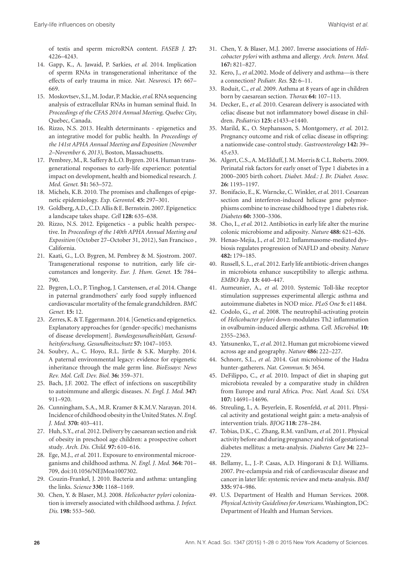of testis and sperm microRNA content. *FASEB J*. **27:** 4226–4243.

- 14. Gapp, K., A. Jawaid, P. Sarkies, *et al*. 2014. Implication of sperm RNAs in transgenerational inheritance of the effects of early trauma in mice. *Nat. Neurosci*. **17:** 667– 669.
- 15. Moskovtsev, S.I.,M. Jodar, P.Mackie,*et al*. RNA sequencing analysis of extracellular RNAs in human seminal fluid. In *Proceedings of the CFAS 2014 Annual Meeting, Quebec City*, Quebec, Canada.
- 16. Rizzo, N.S. 2013. Health determinants epigenetics and an integrative model for public health. In *Proceedings of the 141st APHA Annual Meeting and Exposition (November 2–November 6, 2013)*, Boston, Massachusetts.
- 17. Pembrey, M., R. Saffery & L.O. Bygren. 2014. Human transgenerational responses to early-life experience: potential impact on development, health and biomedical research. *J. Med. Genet.* **51:** 563–572.
- 18. Michels, K.B. 2010. The promises and challenges of epigenetic epidemiology. *Exp. Gerontol.* **45:** 297–301.
- 19. Goldberg, A.D., C.D. Allis & E. Bernstein. 2007. Epigenetics: a landscape takes shape. *Cell* **128:** 635–638.
- 20. Rizzo, N.S. 2012. Epigenetics a public health perspective. In *Proceedings of the 140th APHA Annual Meeting and Exposition* (October 27–October 31, 2012), San Francisco , California.
- 21. Kaati, G., L.O. Bygren, M. Pembrey & M. Sjostrom. 2007. Transgenerational response to nutrition, early life circumstances and longevity. *Eur. J. Hum. Genet.* **15:** 784– 790.
- 22. Bygren, L.O., P. Tinghog, J. Carstensen, *et al*. 2014. Change in paternal grandmothers' early food supply influenced cardiovascular mortality of the female grandchildren. *BMC Genet.* **15:** 12.
- 23. Zerres, K. & T. Eggermann. 2014. [Genetics and epigenetics. Explanatory approaches for (gender-specific) mechanisms of disease development]. *Bundesgesundheitsblatt, Gesundheitsforschung, Gesundheitsschutz* **57:** 1047–1053.
- 24. Soubry, A., C. Hoyo, R.L. Jirtle & S.K. Murphy. 2014. A paternal environmental legacy: evidence for epigenetic inheritance through the male germ line. *BioEssays: News Rev. Mol. Cell. Dev. Biol.* **36:** 359–371.
- 25. Bach, J.F. 2002. The effect of infections on susceptibility to autoimmune and allergic diseases. *N. Engl. J. Med.* **347:** 911–920.
- 26. Cunningham, S.A., M.R. Kramer & K.M.V. Narayan. 2014. Incidence of childhood obesity in the United States.*N. Engl. J. Med.* **370:** 403–411.
- 27. Huh, S.Y.,*et al*. 2012. Delivery by caesarean section and risk of obesity in preschool age children: a prospective cohort study. *Arch. Dis. Child.* **97:** 610–616.
- 28. Ege, M.J., *et al*. 2011. Exposure to environmental microorganisms and childhood asthma. *N. Engl. J. Med.* **364:** 701– 709, doi:10.1056/NEJMoa1007302.
- 29. Couzin-Frankel, J. 2010. Bacteria and asthma: untangling the links. *Science* **330:** 1168–1169.
- 30. Chen, Y. & Blaser, M.J. 2008. *Helicobacter pylori* colonization is inversely associated with childhood asthma. *J. Infect. Dis.* **198:** 553–560.
- 31. Chen, Y. & Blaser, M.J. 2007. Inverse associations of *Helicobacter pylori* with asthma and allergy. *Arch. Intern. Med.* **167:** 821–827.
- 32. Kero, J., *et al*.2002. Mode of delivery and asthma—is there a connection? *Pediatr. Res.* **52:** 6–11.
- 33. Roduit, C., *et al*. 2009. Asthma at 8 years of age in children born by caesarean section. *Thorax* **64:** 107–113.
- 34. Decker, E., *et al*. 2010. Cesarean delivery is associated with celiac disease but not inflammatory bowel disease in children. *Pediatrics* **125:** e1433–e1440.
- 35. Marild, K., O. Stephansson, S. Montgomery, *et al*. 2012. Pregnancy outcome and risk of celiac disease in offspring: a nationwide case-control study. *Gastroenterology* **142:** 39– 45.e33.
- 36. Algert, C.S., A.McElduff, J.M.Morris & C.L. Roberts. 2009. Perinatal risk factors for early onset of Type 1 diabetes in a 2000–2005 birth cohort. *Diabet. Med.: J. Br. Diabet. Assoc.* **26:** 1193–1197.
- 37. Bonifacio, E., K. Warncke, C. Winkler,*et al*. 2011. Cesarean section and interferon-induced helicase gene polymorphisms combine to increase childhood type 1 diabetes risk. *Diabetes* **60:** 3300–3306.
- 38. Cho, I., *et al*. 2012. Antibiotics in early life alter the murine colonic microbiome and adiposity. *Nature* **488:** 621–626.
- 39. Henao-Mejia, J., *et al*. 2012. Inflammasome-mediated dysbiosis regulates progression of NAFLD and obesity. *Nature* **482:** 179–185.
- 40. Russell, S. L.,*et al*. 2012. Early life antibiotic-driven changes in microbiota enhance susceptibility to allergic asthma. *EMBO Rep.* **13:** 440–447.
- 41. Aumeunier, A., *et al*. 2010. Systemic Toll-like receptor stimulation suppresses experimental allergic asthma and autoimmune diabetes in NOD mice. *PLoS One* **5:** e11484.
- 42. Codolo, G., *et al*. 2008. The neutrophil-activating protein of *Helicobacter pylori* down-modulates Th2 inflammation in ovalbumin-induced allergic asthma. *Cell. Microbiol.* **10:** 2355–2363.
- 43. Yatsunenko, T.,*et al*. 2012. Human gut microbiome viewed across age and geography. *Nature* **486:** 222–227.
- 44. Schnorr, S.L., *et al*. 2014. Gut microbiome of the Hadza hunter-gatherers. *Nat. Commun.* **5:** 3654.
- 45. DeFilippo, C., *et al*. 2010. Impact of diet in shaping gut microbiota revealed by a comparative study in children from Europe and rural Africa. *Proc. Natl. Acad. Sci. USA* **107:** 14691–14696.
- 46. Streuling, I., A. Beyerlein, E. Rosenfeld, *et al*. 2011. Physical activity and gestational weight gain: a meta-analysis of intervention trials. *BJOG* **118:** 278–284.
- 47. Tobias, D.K., C. Zhang, R.M. vanDam, *et al*. 2011. Physical activity before and during pregnancy and risk of gestational diabetes mellitus: a meta-analysis. *Diabetes Care* **34:** 223– 229.
- 48. Bellamy, L., J.-P. Casas, A.D. Hingorani & D.J. Williams. 2007. Pre-eclampsia and risk of cardiovascular disease and cancer in later life: systemic review and meta-analysis. *BMJ* **335:** 974–986.
- 49. U.S. Department of Health and Human Services. 2008. *Physical Activity Guidelines for Americans*.Washington, DC: Department of Health and Human Services.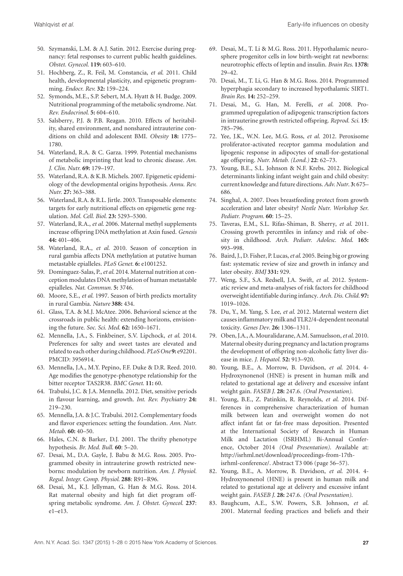- 50. Szymanski, L.M. & A.J. Satin. 2012. Exercise during pregnancy: fetal responses to current public health guidelines. *Obstet. Gynecol.* **119:** 603–610.
- 51. Hochberg, Z., R. Feil, M. Constancia, *et al*. 2011. Child health, developmental plasticity, and epigenetic programming. *Endocr. Rev.* **32:** 159–224.
- 52. Symonds, M.E., S.P. Sebert, M.A. Hyatt & H. Budge. 2009. Nutritional programming of the metabolic syndrome. *Nat. Rev. Endocrinol.* **5:** 604–610.
- 53. Salsberry, P.J. & P.B. Reagan. 2010. Effects of heritability, shared environment, and nonshared intrauterine conditions on child and adolescent BMI. *Obesity* **18:** 1775– 1780.
- 54. Waterland, R.A. & C. Garza. 1999. Potential mechanisms of metabolic imprinting that lead to chronic disease. *Am. J. Clin. Nutr.* **69:** 179–197.
- 55. Waterland, R.A. & K.B. Michels. 2007. Epigenetic epidemiology of the developmental origins hypothesis. *Annu. Rev. Nutr.* **27:** 363–388.
- 56. Waterland, R.A. & R.L. Jirtle. 2003. Transposable elements: targets for early nutritional effects on epigenetic gene regulation. *Mol. Cell. Biol.* **23:** 5293–5300.
- 57. Waterland, R.A., *et al*. 2006. Maternal methyl supplements increase offspring DNA methylation at Axin fused. *Genesis* **44:** 401–406.
- 58. Waterland, R.A., *et al*. 2010. Season of conception in rural gambia affects DNA methylation at putative human metastable epialleles. *PLoS Genet.* **6:** e1001252.
- 59. Dominguez-Salas, P.,*et al*. 2014. Maternal nutrition at conception modulates DNA methylation of human metastable epialleles. *Nat. Commun.* **5:** 3746.
- 60. Moore, S.E., *et al*. 1997. Season of birth predicts mortality in rural Gambia. *Nature* **388:** 434.
- 61. Glass, T.A. & M.J. McAtee. 2006. Behavioral science at the crossroads in public health: extending horizons, envisioning the future. *Soc. Sci. Med*. **62:** 1650–1671.
- 62. Mennella, J.A., S. Finkbeiner, S.V. Lipchock, *et al*. 2014. Preferences for salty and sweet tastes are elevated and related to each other during childhood. *PLoS One* **9:** e92201. PMCID: 3956914.
- 63. Mennella, J.A., M.Y. Pepino, F.F. Duke & D.R. Reed. 2010. Age modifies the genotype-phenotype relationship for the bitter receptor TAS2R38. *BMC Genet*. **11:** 60.
- 64. Trabulsi, J.C. & J.A. Mennella. 2012. Diet, sensitive periods in flavour learning, and growth. *Int. Rev. Psychiatry* **24:** 219–230.
- 65. Mennella, J.A. & J.C. Trabulsi. 2012. Complementary foods and flavor experiences: setting the foundation. *Ann. Nutr. Metab*. **60:** 40–50.
- 66. Hales, C.N. & Barker, D.J. 2001. The thrifty phenotype hypothesis. *Br. Med. Bull.* **60**: 5–20.
- 67. Desai, M., D.A. Gayle, J. Babu & M.G. Ross. 2005. Programmed obesity in intrauterine growth restricted newborns: modulation by newborn nutrition. *Am. J. Physiol. Regul. Integr. Comp. Physiol.* **288**: R91–R96.
- 68. Desai, M., K.J. Jellyman, G. Han & M.G. Ross. 2014. Rat maternal obesity and high fat diet program offspring metabolic syndrome. *Am. J. Obstet. Gynecol.* **237**: e1–e13.
- 69. Desai, M., T. Li & M.G. Ross. 2011. Hypothalamic neurosphere progenitor cells in low birth-weight rat newborns: neurotrophic effects of leptin and insulin. *Brain Res*. **1378:** 29–42.
- 70. Desai, M., T. Li, G. Han & M.G. Ross. 2014. Programmed hyperphagia secondary to increased hypothalamic SIRT1. *Brain Res*. **14:** 252–259.
- 71. Desai, M., G. Han, M. Ferelli, *et al*. 2008. Programmed upregulation of adipogenic transcription factors in intrauterine growth restricted offspring. *Reprod. Sci.* **15**: 785–796.
- 72. Yee, J.K., W.N. Lee, M.G. Ross, *et al*. 2012. Peroxisome proliferator-activated receptor gamma modulation and lipogenic response in adipocytes of small-for-gestational age offspring. *Nutr. Metab. (Lond.)* **22**: 62–73.
- 73. Young, B.E., S.L. Johnson & N.F. Krebs. 2012. Biological determinants linking infant weight gain and child obesity: current knowledge and future directions.*Adv. Nutr*. **3:** 675– 686.
- 74. Singhal, A. 2007. Does breastfeeding protect from growth acceleration and later obesity? *Nestle Nutr. Workshop Ser. Pediatr. Program.* **60**: 15–25.
- 75. Taveras, E.M., S.L. Rifas-Shiman, B. Sherry, *et al*. 2011. Crossing growth percentiles in infancy and risk of obesity in childhood. *Arch. Pediatr. Adolesc. Med*. **165:** 993–998.
- 76. Baird, J., D. Fisher, P. Lucas,*et al*. 2005. Being big or growing fast: systematic review of size and growth in infancy and later obesity. *BMJ* **331:** 929.
- 77. Weng, S.F., S.A. Redsell, J.A. Swift, *et al*. 2012. Systematic review and meta-analyses of risk factors for childhood overweight identifiable during infancy. *Arch. Dis. Child.* **97:** 1019–1026.
- 78. Du, Y., M. Yang, S. Lee, *et al*. 2012. Maternal western diet causes inflammatory milk and TLR2/4-dependent neonatal toxicity. *Genes Dev*. **26:** 1306–1311.
- 79. Oben, J.A., A.Mouralidarane, A.M. Samuelsson,*et al*. 2010. Maternal obesity during pregnancy and lactation programs the development of offspring non-alcoholic fatty liver disease in mice. *J. Hepatol.* **52:** 913–920.
- 80. Young, B.E., A. Morrow, B. Davidson, *et al*. 2014. 4- Hydroxynonenol (HNE) is present in human milk and related to gestational age at delivery and excessive infant weight gain. *FASEB J*. **28:** 247.6. *(Oral Presentation)*.
- 81. Young, B.E., Z. Patinkin, R. Reynolds, *et al*. 2014. Differences in comprehensive characterization of human milk between lean and overweight women do not affect infant fat or fat-free mass deposition. Presented at the International Society of Research in Human Milk and Lactation (ISRHML) Bi-Annual Conference, October 2014 *(Oral Presentation)*. Available at: [http://isrhml.net/download/proceedings-from-17th](http://isrhml.net/download/proceedings-from-17th-isrhml-conference/)[isrhml-conference/.](http://isrhml.net/download/proceedings-from-17th-isrhml-conference/) Abstract T3 006 (page 56–57).
- 82. Young, B.E., A. Morrow, B. Davidson, *et al*. 2014. 4- Hydroxynonenol (HNE) is present in human milk and related to gestational age at delivery and excessive infant weight gain. *FASEB J*. **28:** 247.6. *(Oral Presentation)*.
- 83. Baughcum, A.E., S.W. Powers, S.B. Johnson, *et al*. 2001. Maternal feeding practices and beliefs and their